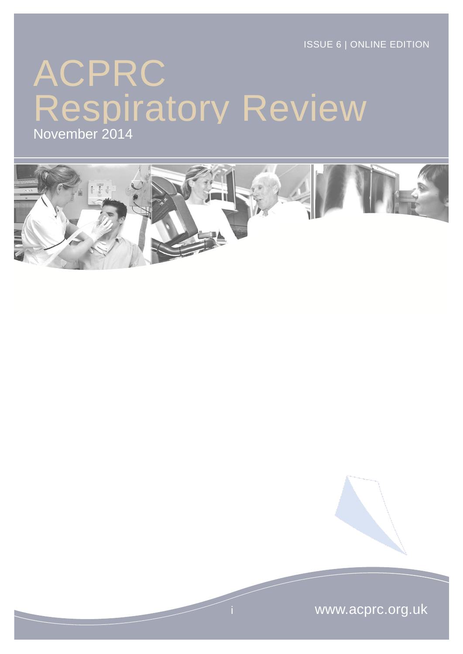ISSUE 6 | ONLINE EDITION

# ACPRC Respiratory Review

November 2014



www.acprc.org.uk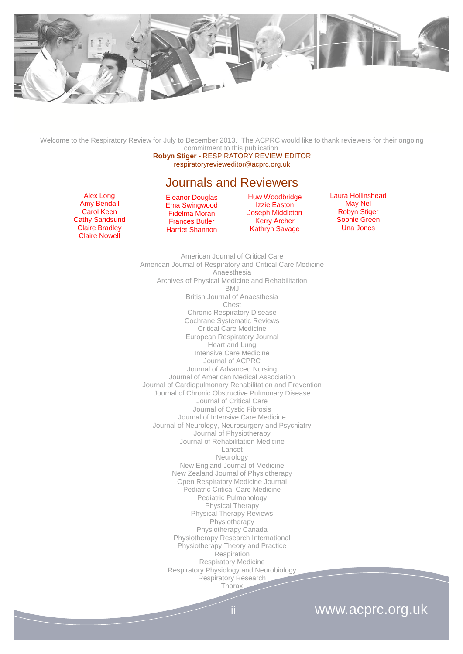

Welcome to the Respiratory Review for July to December 2013. The ACPRC would like to thank reviewers for their ongoing commitment to this publication.

**Robyn Stiger -** RESPIRATORY REVIEW EDITOR respiratoryrevieweditor@acprc.org.uk

#### Journals and Reviewers

Alex Long Amy Bendall Carol Keen Cathy Sandsund Claire Bradley Claire Nowell

Eleanor Douglas Ema Swingwood Fidelma Moran Frances Butler Harriet Shannon

Huw Woodbridge Izzie Easton Joseph Middleton Kerry Archer Kathryn Savage

Laura Hollinshead May Nel Robyn Stiger Sophie Green Una Jones

American Journal of Critical Care American Journal of Respiratory and Critical Care Medicine Anaesthesia Archives of Physical Medicine and Rehabilitation BMJ British Journal of Anaesthesia Chest Chronic Respiratory Disease Cochrane Systematic Reviews Critical Care Medicine European Respiratory Journal Heart and Lung Intensive Care Medicine Journal of ACPRC Journal of Advanced Nursing Journal of American Medical Association Journal of Cardiopulmonary Rehabilitation and Prevention Journal of Chronic Obstructive Pulmonary Disease Journal of Critical Care Journal of Cystic Fibrosis Journal of Intensive Care Medicine Journal of Neurology, Neurosurgery and Psychiatry Journal of Physiotherapy Journal of Rehabilitation Medicine Lancet Neurology New England Journal of Medicine New Zealand Journal of Physiotherapy Open Respiratory Medicine Journal Pediatric Critical Care Medicine Pediatric Pulmonology Physical Therapy Physical Therapy Reviews Physiotherapy Physiotherapy Canada Physiotherapy Research International Physiotherapy Theory and Practice **Respiration** Respiratory Medicine Respiratory Physiology and Neurobiology Respiratory Research **Thorax** 

# ii www.acprc.org.uk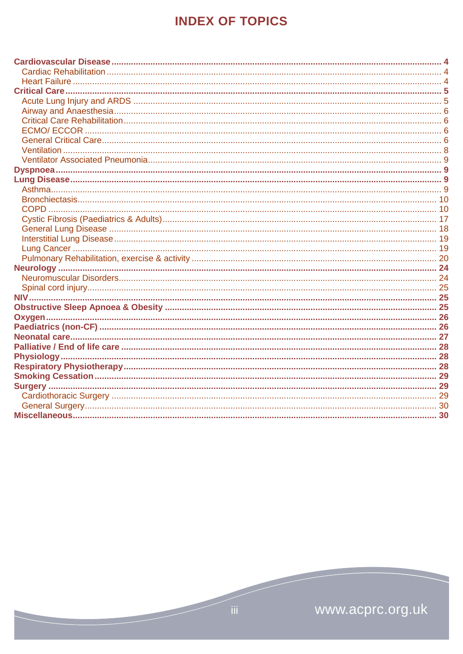# **INDEX OF TOPICS**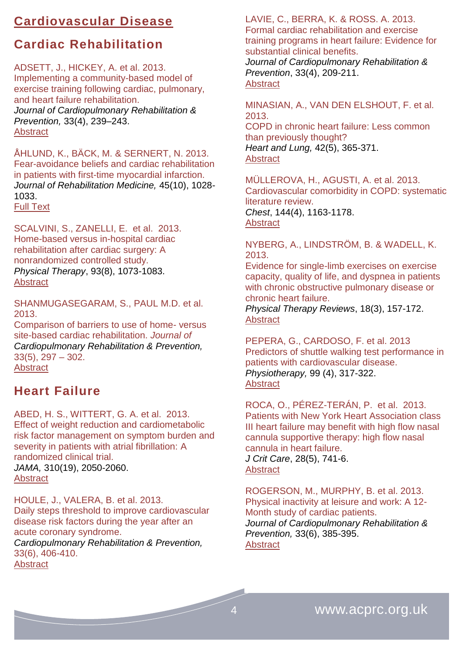# <span id="page-3-0"></span>**Cardiovascular Disease**

# <span id="page-3-1"></span>**Cardiac Rehabilitation**

ADSETT, J., HICKEY, A. et al. 2013. Implementing a community-based model of exercise training following cardiac, pulmonary, and heart failure rehabilitation. *Journal of Cardiopulmonary Rehabilitation & Prevention,* 33(4), 239–243. [Abstract](http://journals.lww.com/jcrjournal/Abstract/2013/07000/Implementing_a_Community_Based_Model_of_Exercise.7.aspx)

ÅHLUND, K., BÄCK, M. & SERNERT, N. 2013. Fear-avoidance beliefs and cardiac rehabilitation in patients with first-time myocardial infarction. *Journal of Rehabilitation Medicine,* 45(10), 1028- 1033.

[Full Text](http://www.medicaljournals.se/jrm/content/?doi=10.2340/16501977-1219&html=1)

SCALVINI, S., ZANELLI, E. et al. 2013. Home-based versus in-hospital cardiac rehabilitation after cardiac surgery: A nonrandomized controlled study. *Physical Therapy*, 93(8), 1073-1083. **[Abstract](http://ptjournal.apta.org/content/93/8/1073.abstract)** 

SHANMUGASEGARAM, S., PAUL M.D. et al. 2013.

Comparison of barriers to use of home- versus site-based cardiac rehabilitation. *Journal of Cardiopulmonary Rehabilitation & Prevention,* 33(5), 297 – 302. **[Abstract](http://journals.lww.com/jcrjournal/Abstract/2013/09000/A_Comparison_of_Barriers_to_Use_of_Home__Versus.5.aspx)** 

# <span id="page-3-2"></span>**Heart Failure**

ABED, H. S., WITTERT, G. A. et al. 2013. Effect of weight reduction and cardiometabolic risk factor management on symptom burden and severity in patients with atrial fibrillation: A randomized clinical trial. *JAMA,* 310(19), 2050-2060. [Abstract](http://www.ncbi.nlm.nih.gov/pubmed/24240932)

HOULE, J., VALERA, B. et al. 2013. Daily steps threshold to improve cardiovascular disease risk factors during the year after an acute coronary syndrome. *Cardiopulmonary Rehabilitation & Prevention,* 33(6), 406-410. **[Abstract](http://journals.lww.com/jcrjournal/Abstract/2013/11000/Daily_Steps_Threshold_to_Improve_Cardiovascular.9.aspx)** 

LAVIE, C., BERRA, K. & ROSS. A. 2013. Formal cardiac rehabilitation and exercise training programs in heart failure: Evidence for substantial clinical benefits.

*Journal of Cardiopulmonary Rehabilitation & Prevention*, 33(4), 209-211. **[Abstract](http://journals.lww.com/jcrjournal/Citation/2013/07000/Formal_Cardiac_Rehabilitation_and_Exercise.2.aspx)** 

MINASIAN, A., VAN DEN ELSHOUT, F. et al. 2013. COPD in chronic heart failure: Less common than previously thought? *Heart and Lung,* 42(5), 365-371. **[Abstract](http://www.sciencedirect.com/science/article/pii/S0147956313002422)** 

MÜLLEROVA, H., AGUSTI, A. et al. 2013. Cardiovascular comorbidity in COPD: systematic literature review. *Chest*, 144(4), 1163-1178. [Abstract](http://journal.publications.chestnet.org/article.aspx?articleID=1691932)

NYBERG, A., LINDSTRÖM, B. & WADELL, K. 2013.

Evidence for single-limb exercises on exercise capacity, quality of life, and dyspnea in patients with chronic obstructive pulmonary disease or chronic heart failure.

*Physical Therapy Reviews*, 18(3), 157-172. [Abstract](http://www.maneyonline.com/doi/abs/10.1179/1743288X13Y.0000000072?queryID=%24%7BresultBean.queryID%7D)

PEPERA, G., CARDOSO, F. et al. 2013 Predictors of shuttle walking test performance in patients with cardiovascular disease. *Physiotherapy,* 99 (4), 317-322. [Abstract](http://www.physiotherapyjournal.com/article/S0031-9406(13)00020-5/abstract)

ROCA, O., PÉREZ-TERÁN, P. et al. 2013. Patients with New York Heart Association class III heart failure may benefit with high flow nasal cannula supportive therapy: high flow nasal cannula in heart failure. *J Crit Care*, 28(5), 741-6. **[Abstract](http://www.ncbi.nlm.nih.gov/pubmed/?term=J+Crit+Care%2C+28(5)%3A741-6)** 

ROGERSON, M., MURPHY, B. et al. 2013. Physical inactivity at leisure and work: A 12- Month study of cardiac patients. *Journal of Cardiopulmonary Rehabilitation & Prevention,* 33(6), 385-395. **[Abstract](http://journals.lww.com/jcrjournal/Abstract/2013/11000/Physical_Inactivity_at_Leisure_and_Work__A.6.aspx)**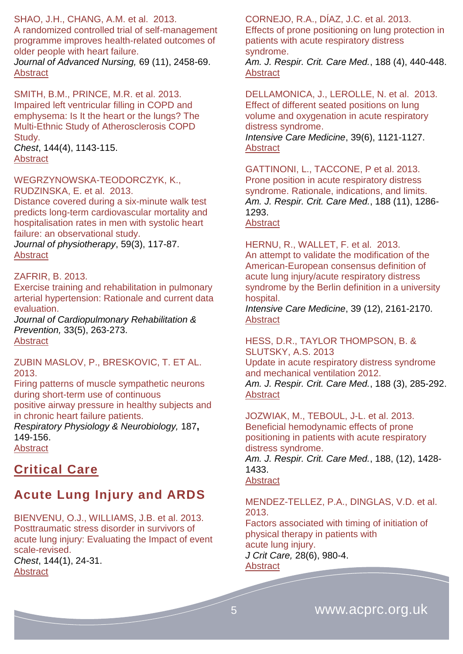#### SHAO, J.H., CHANG, A.M. et al. 2013.

A randomized controlled trial of self-management programme improves health-related outcomes of older people with heart failure.

*Journal of Advanced Nursing,* 69 (11), 2458-69. **[Abstract](http://www.ncbi.nlm.nih.gov/pubmed/?term=A+randomized+controlled+trial+of+self-management+programme+improves+health-related+outcomes+of+older+people+with+heart+failure.)** 

SMITH, B.M., PRINCE, M.R. et al. 2013. Impaired left ventricular filling in COPD and emphysema: Is It the heart or the lungs? The Multi-Ethnic Study of Atherosclerosis COPD Study. *Chest*, 144(4), 1143-115.

**[Abstract](http://journal.publications.chestnet.org/article.aspx?articleID=1697567)** 

#### WEGRZYNOWSKA-TEODORCZYK, K., RUDZINSKA, E. et al. 2013.

Distance covered during a six-minute walk test predicts long-term cardiovascular mortality and hospitalisation rates in men with systolic heart failure: an observational study.

*Journal of physiotherapy*, 59(3), 117-87. **[Abstract](http://www.ncbi.nlm.nih.gov/pubmed/23896333)** 

#### ZAFRIR, B. 2013.

Exercise training and rehabilitation in pulmonary arterial hypertension: Rationale and current data evaluation.

*Journal of Cardiopulmonary Rehabilitation & Prevention,* 33(5), 263-273. [Abstract](http://journals.lww.com/jcrjournal/Abstract/2013/09000/Exercise_Training_and_Rehabilitation_in_Pulmonary.1.aspx)

#### ZUBIN MASLOV, P., BRESKOVIC, T. ET AL. 2013.

Firing patterns of muscle sympathetic neurons during short-term use of continuous positive airway pressure in healthy subjects and in chronic heart failure patients.

*Respiratory Physiology & Neurobiology,* 187**,** 149-156.

**[Abstract](http://www.ncbi.nlm.nih.gov/pubmed/?term=zubin+firing+patterns)** 

# <span id="page-4-0"></span>**Critical Care**

# <span id="page-4-1"></span>**Acute Lung Injury and ARDS**

BIENVENU, O.J., WILLIAMS, J.B. et al. 2013. Posttraumatic stress disorder in survivors of acute lung injury: Evaluating the Impact of event scale-revised. *Chest*, 144(1), 24-31. **[Abstract](http://journal.publications.chestnet.org/article.aspx?articleID=1393098)** 

CORNEJO, R.A., DÍAZ, J.C. et al. 2013. Effects of prone positioning on lung protection in patients with acute respiratory distress syndrome.

*Am. J. Respir. Crit. Care Med.*, 188 (4), 440-448. **[Abstract](http://www.atsjournals.org/doi/abs/10.1164/rccm.201207-1279OC#.U2qFS_ldUjp)** 

DELLAMONICA, J., LEROLLE, N. et al. 2013. [Effect of different seated positions on lung](http://link.springer.com/article/10.1007/s00134-013-2827-x)  [volume and oxygenation in acute respiratory](http://link.springer.com/article/10.1007/s00134-013-2827-x)  [distress syndrome.](http://link.springer.com/article/10.1007/s00134-013-2827-x) *[Intensive Care Medicine](http://link.springer.com/journal/134)*, 3[9\(6\)](http://link.springer.com/journal/134/39/6/page/1), 1121-1127. [Abstract](http://icmjournal.esicm.org/journals/abstract.html?v=39&j=134&i=6&a=2827_10.1007_s00134-013-2827-x&doi=)

GATTINONI, L., TACCONE, P et al. 2013. Prone position in acute respiratory distress syndrome. Rationale, indications, and limits. *Am. J. Respir. Crit. Care Med.*, 188 (11), 1286- 1293.

#### **[Abstract](http://www.atsjournals.org/doi/abs/10.1164/rccm.201308-1532CI#.U2qFS_ldUjp)**

HERNU, R., WALLET, F. et al. 2013.

[An attempt to validate the modification of the](http://link.springer.com/article/10.1007/s00134-013-3122-6)  [American-European consensus definition of](http://link.springer.com/article/10.1007/s00134-013-3122-6)  [acute lung injury/acute respiratory distress](http://link.springer.com/article/10.1007/s00134-013-3122-6)  [syndrome by the Berlin definition in a university](http://link.springer.com/article/10.1007/s00134-013-3122-6)  [hospital.](http://link.springer.com/article/10.1007/s00134-013-3122-6)

*[Intensive Care Medicine](http://link.springer.com/journal/134)*, 39 [\(12\)](http://link.springer.com/journal/134/39/12/page/1), 2161-2170. [Abstract](http://icmjournal.esicm.org/journals/abstract.html?v=39&j=134&i=12&a=3122_10.1007_s00134-013-3122-6&doi=)

HESS, D.R., TAYLOR THOMPSON, B. & SLUTSKY, A.S. 2013

Update in acute respiratory distress syndrome and mechanical ventilation 2012. *Am. J. Respir. Crit. Care Med.*, 188 (3), 285-292. [Abstract](http://www.atsjournals.org/doi/abs/10.1164/rccm.201304-0786UP#.U2qFTPldUjp)

JOZWIAK, M., TEBOUL, J-L. et al. 2013. Beneficial hemodynamic effects of prone positioning in patients with acute respiratory distress syndrome. *Am. J. Respir. Crit. Care Med.*, 188, (12), 1428-

1433.

### **[Abstract](http://www.atsjournals.org/doi/abs/10.1164/rccm.201303-0593OC#.U2qFUPldUjp)**

MENDEZ-TELLEZ, P.A., DINGLAS, V.D. et al. 2013. Factors associated with timing of initiation of

physical therapy in patients with acute lung injury. *J Crit Care,* 28(6), 980-4. **[Abstract](http://www.ncbi.nlm.nih.gov/pubmed/?term=J+Crit+Care%2C+28(6)%3A980-4)**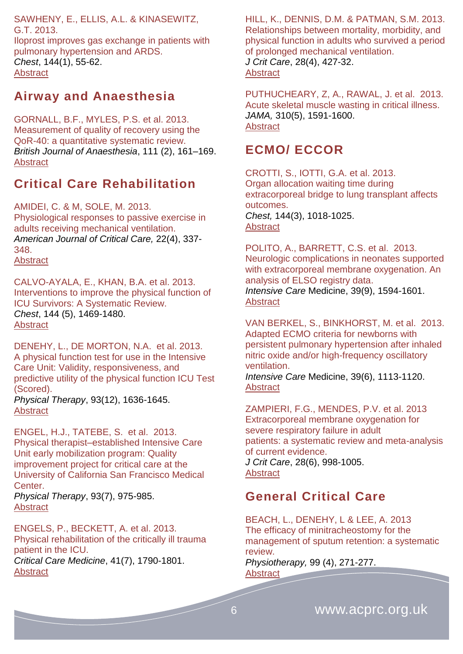SAWHENY, E., ELLIS, A.L. & KINASEWITZ, G.T. 2013. Iloprost improves gas exchange in patients with pulmonary hypertension and ARDS. *Chest*, 144(1), 55-62. **[Abstract](http://journal.publications.chestnet.org/article.aspx?articleID=1567238)** 

### <span id="page-5-0"></span>**Airway and Anaesthesia**

GORNALL, B.F., MYLES, P.S. et al. 2013. Measurement of quality of recovery using the QoR-40: a quantitative systematic review. *British Journal of Anaesthesia*, 111 (2), 161–169. **[Abstract](http://bja.oxfordjournals.org/content/111/2/161.abstract)** 

# <span id="page-5-1"></span>**Critical Care Rehabilitation**

AMIDEI, C. & M, SOLE, M. 2013. Physiological responses to passive exercise in adults receiving mechanical ventilation. *American Journal of Critical Care,* 22(4), 337- 348. **[Abstract](http://ajcc.aacnjournals.org/content/22/4/337.abstract)** 

CALVO-AYALA, E., KHAN, B.A. et al. 2013. Interventions to improve the physical function of ICU Survivors: A Systematic Review. *Chest*, 144 (5), 1469-1480. [Abstract](http://journal.publications.chestnet.org/article.aspx?articleID=1727081)

DENEHY, L., DE MORTON, N.A. et al. 2013. A physical function test for use in the Intensive Care Unit: Validity, responsiveness, and predictive utility of the physical function ICU Test (Scored).

*Physical Therapy*, 93(12), 1636-1645. **[Abstract](http://ptjournal.apta.org/content/93/12/1636.abstract)** 

ENGEL, H.J., TATEBE, S. et al. 2013. Physical therapist–established Intensive Care Unit early mobilization program: Quality improvement project for critical care at the University of California San Francisco Medical Center.

*Physical Therapy*, 93(7), 975-985. **[Abstract](http://ptjournal.apta.org/content/93/7/975.abstract)** 

ENGELS, P., BECKETT, A. et al. 2013. Physical rehabilitation of the critically ill trauma patient in the ICU. *Critical Care Medicine*, 41(7), 1790-1801. **[Abstract](http://www.ncbi.nlm.nih.gov/pubmed/23774338)** 

HILL, K., DENNIS, D.M. & PATMAN, S.M. 2013. Relationships between mortality, morbidity, and physical function in adults who survived a period of prolonged mechanical ventilation. *J Crit Care*, 28(4), 427-32. **[Abstract](http://www.ncbi.nlm.nih.gov/pubmed/?term=J+Crit+Care%2C+28(4)%3A427-32)** 

PUTHUCHEARY, Z, A., RAWAL, J. et al. 2013. Acute skeletal muscle wasting in critical illness. *JAMA,* 310(5), 1591-1600. [Abstract](http://www.ncbi.nlm.nih.gov/pubmed/24108501)

### <span id="page-5-2"></span>**ECMO/ ECCOR**

CROTTI, S., IOTTI, G.A. et al. 2013. Organ allocation waiting time during extracorporeal bridge to lung transplant affects outcomes. *Chest,* 144(3), 1018-1025. **[Abstract](http://journal.publications.chestnet.org/article.aspx?articleID=1679038)** 

POLITO, A., BARRETT, C.S. et al. 2013. [Neurologic complications in neonates supported](http://link.springer.com/article/10.1007/s00134-013-2985-x)  with extracorporeal membrane oxygenation. An [analysis of ELSO registry data.](http://link.springer.com/article/10.1007/s00134-013-2985-x) *[Intensive Care](http://link.springer.com/journal/134)* Medicine, 3[9\(9\)](http://link.springer.com/journal/134/39/9/page/1), 1594-1601. [Abstract](http://icmjournal.esicm.org/journals/abstract.html?v=39&j=134&i=9&a=2985_10.1007_s00134-013-2985-x&doi=)

VAN BERKEL, S., BINKHORST, M. et al. 2013. [Adapted ECMO criteria for newborns with](http://link.springer.com/article/10.1007/s00134-013-2907-y)  [persistent pulmonary hypertension after inhaled](http://link.springer.com/article/10.1007/s00134-013-2907-y)  [nitric oxide and/or high-frequency oscillatory](http://link.springer.com/article/10.1007/s00134-013-2907-y)  [ventilation.](http://link.springer.com/article/10.1007/s00134-013-2907-y) *[Intensive Care](http://link.springer.com/journal/134)* Medicine, 3[9\(6\)](http://link.springer.com/journal/134/39/6/page/1), 1113-1120.

**[Abstract](http://icmjournal.esicm.org/journals/abstract.html?v=39&j=134&i=6&a=2907_10.1007_s00134-013-2907-y&doi=)** 

ZAMPIERI, F.G., MENDES, P.V. et al. 2013 Extracorporeal membrane oxygenation for severe respiratory failure in adult patients: a systematic review and meta-analysis of current evidence. *J Crit Care*, 28(6), 998-1005. **[Abstract](http://www.ncbi.nlm.nih.gov/pubmed/?term=J+Crit+Care%2C+28(6)%3A998-1005.)** 

# <span id="page-5-3"></span>**General Critical Care**

BEACH, L., DENEHY, L & LEE, A. 2013 The efficacy of minitracheostomy for the management of sputum retention: a systematic review.

*Physiotherapy,* 99 (4), 271-277. **[Abstract](http://www.physiotherapyjournal.com/article/S0031-9406(13)00032-1/abstract)**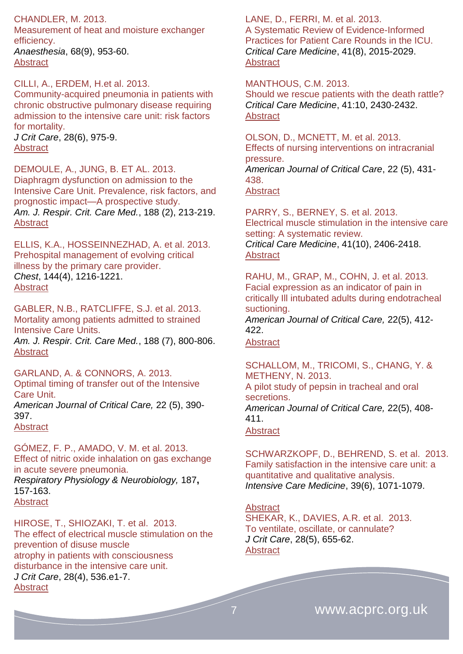#### CHANDLER, M. 2013.

Measurement of heat and moisture exchanger efficiency.

*Anaesthesia*, 68(9), 953-60. [Abstract](http://www.ncbi.nlm.nih.gov/pubmed/24047355)

CILLI, A., ERDEM, H.et al. 2013.

Community-acquired pneumonia in patients with chronic obstructive pulmonary disease requiring admission to the intensive care unit: risk factors for mortality.

*J Crit Care*, 28(6), 975-9. [Abstract](http://www.ncbi.nlm.nih.gov/pubmed/?term=J+Crit+Care%2C+28(6)%2C975-9)

#### DEMOULE, A., JUNG, B. ET AL. 2013.

Diaphragm dysfunction on admission to the Intensive Care Unit. Prevalence, risk factors, and prognostic impact—A prospective study. *Am. J. Respir. Crit. Care Med.*, 188 (2), 213-219. **[Abstract](http://www.atsjournals.org/doi/abs/10.1164/rccm.201209-1668OC#.U2qFT_ldUjp)** 

ELLIS, K.A., HOSSEINNEZHAD, A. et al. 2013. Prehospital management of evolving critical illness by the primary care provider. *Chest*, 144(4), 1216-1221. **[Abstract](http://journal.publications.chestnet.org/article.aspx?articleID=1698746)** 

GABLER, N.B., RATCLIFFE, S.J. et al. 2013. Mortality among patients admitted to strained Intensive Care Units. *Am. J. Respir. Crit. Care Med.*, 188 (7), 800-806. [Abstract](http://www.atsjournals.org/doi/abs/10.1164/rccm.201304-0622OC#.U2qFUPldUjp)

GARLAND, A. & CONNORS, A. 2013. Optimal timing of transfer out of the Intensive Care Unit.

*American Journal of Critical Care,* 22 (5), 390- 397. **[Abstract](http://ajcc.aacnjournals.org/content/22/5/390.abstract)** 

GÓMEZ, F. P., AMADO, V. M. et al. 2013.

Effect of nitric oxide inhalation on gas exchange in acute severe pneumonia. *Respiratory Physiology & Neurobiology,* 187**,**

157-163. **[Abstract](http://www.ncbi.nlm.nih.gov/pubmed/23537586)** 

HIROSE, T., SHIOZAKI, T. et al. 2013. The effect of electrical muscle stimulation on the prevention of disuse muscle atrophy in patients with consciousness disturbance in the intensive care unit. *J Crit Care*, 28(4), 536.e1-7. [Abstract](http://www.ncbi.nlm.nih.gov/pubmed/?term=J+Crit+Care%2C+28(4)%3A536.e1-7)

#### LANE, D., FERRI, M. et al. 2013.

A Systematic Review of Evidence-Informed Practices for Patient Care Rounds in the ICU. *Critical Care Medicine*, 41(8), 2015-2029. **[Abstract](http://www.ncbi.nlm.nih.gov/pubmed/23666096)** 

#### MANTHOUS, C.M. 2013.

Should we rescue patients with the death rattle? *Critical Care Medicine*, 41:10, 2430-2432. **[Abstract](http://journals.lww.com/ccmjournal/Citation/2013/10000/Should_We_Rescue_Patients_With_the_Death_Rattle_.19.aspx)** 

OLSON, D., MCNETT, M. et al. 2013.

Effects of nursing interventions on intracranial pressure.

*American Journal of Critical Care*, 22 (5), 431- 438.

[Abstract](http://ajcc.aacnjournals.org/content/22/5/431.abstract)

PARRY, S., BERNEY, S. et al. 2013. Electrical muscle stimulation in the intensive care setting: A systematic review. *Critical Care Medicine*, 41(10), 2406-2418. **[Abstract](http://journals.lww.com/ccmjournal/Abstract/2013/10000/Electrical_Muscle_Stimulation_in_the_Intensive.17.aspx)** 

RAHU, M., GRAP, M., COHN, J. et al. 2013. Facial expression as an indicator of pain in critically Ill intubated adults during endotracheal suctioning.

*American Journal of Critical Care,* 22(5), 412- 422.

**[Abstract](http://ajcc.aacnjournals.org/content/22/5/412.abstract)** 

SCHALLOM, M., TRICOMI, S., CHANG, Y. & METHENY, N. 2013. A pilot study of pepsin in tracheal and oral secretions. *American Journal of Critical Care,* 22(5), 408- 411. **[Abstract](http://ajcc.aacnjournals.org/content/22/5/408.abstract)** 

SCHWARZKOPF, D., BEHREND, S. et al. 2013. [Family satisfaction in the intensive care unit: a](http://link.springer.com/article/10.1007/s00134-013-2862-7)  [quantitative and qualitative analysis.](http://link.springer.com/article/10.1007/s00134-013-2862-7) *[Intensive Care Medicine](http://link.springer.com/journal/134)*, 3[9\(6\)](http://link.springer.com/journal/134/39/6/page/1), 1071-1079.

**[Abstract](http://icmjournal.esicm.org/journals/abstract.html?v=39&j=134&i=6&a=2862_10.1007_s00134-013-2862-7&doi=)** SHEKAR, K., DAVIES, A.R. et al. 2013. To ventilate, oscillate, or cannulate? *J Crit Care*, 28(5), 655-62. **[Abstract](http://www.ncbi.nlm.nih.gov/pubmed/?term=J+Crit+Care%2C+28(5)%3A655-62)**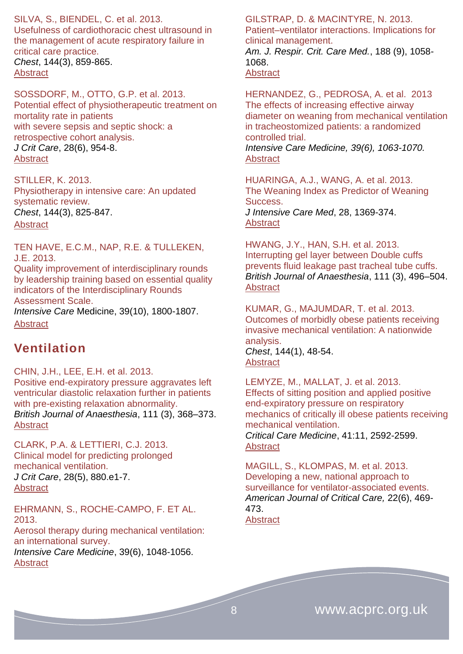SILVA, S., BIENDEL, C. et al. 2013. Usefulness of cardiothoracic chest ultrasound in the management of acute respiratory failure in critical care practice. *Chest*, 144(3), 859-865. **[Abstract](http://journal.publications.chestnet.org/article.aspx?articleID=1686272)** 

SOSSDORF, M., OTTO, G.P. et al. 2013. Potential effect of physiotherapeutic treatment on mortality rate in patients with severe sepsis and septic shock: a retrospective cohort analysis. *J Crit Care*, 28(6), 954-8. **[Abstract](http://www.ncbi.nlm.nih.gov/pubmed/?term=J+Crit+Care%2C28(6)%2C+954-8.)** 

STILLER, K. 2013. Physiotherapy in intensive care: An updated systematic review. *Chest*, 144(3), 825-847. [Abstract](http://journal.publications.chestnet.org/article.aspx?articleID=1692157)

TEN HAVE, E.C.M., NAP, R.E. & TULLEKEN, J.E. 2013. [Quality improvement of interdisciplinary rounds](http://link.springer.com/article/10.1007/s00134-013-3002-0)  [by leadership training based on essential quality](http://link.springer.com/article/10.1007/s00134-013-3002-0)  [indicators of the Interdisciplinary Rounds](http://link.springer.com/article/10.1007/s00134-013-3002-0)  [Assessment Scale.](http://link.springer.com/article/10.1007/s00134-013-3002-0)

*[Intensive Care](http://link.springer.com/journal/134)* Medicine, 3[9\(10\)](http://link.springer.com/journal/134/39/10/page/1), 1800-1807. [Abstract](http://icmjournal.esicm.org/journals/abstract.html?v=39&j=134&i=10&a=3002_10.1007_s00134-013-3002-0&doi=)

### <span id="page-7-0"></span>**Ventilation**

CHIN, J.H., LEE, E.H. et al. 2013. Positive end-expiratory pressure aggravates left ventricular diastolic relaxation further in patients with pre-existing relaxation abnormality. *British Journal of Anaesthesia*, 111 (3), 368–373. **[Abstract](http://bja.oxfordjournals.org/content/111/3/368.abstract)** 

CLARK, P.A. & LETTIERI, C.J. 2013. Clinical model for predicting prolonged mechanical ventilation. *J Crit Care*, 28(5), 880.e1-7. **[Abstract](http://www.ncbi.nlm.nih.gov/pubmed/?term=J+Crit+Care%2C+28(5)%3A880.e1-7)** 

EHRMANN, S., ROCHE-CAMPO, F. ET AL. 2013.

Aerosol therapy during mechanical ventilation: an international survey. *Intensive Care Medicine*, 39(6), 1048-1056.

**[Abstract](http://icmjournal.esicm.org/journals/abstract.html?v=39&j=134&i=6&a=2872_10.1007_s00134-013-2872-5&doi=)** 

#### GILSTRAP, D. & MACINTYRE, N. 2013. Patient–ventilator interactions. Implications for

clinical management.

*Am. J. Respir. Crit. Care Med.*, 188 (9), 1058- 1068. **[Abstract](http://www.atsjournals.org/doi/abs/10.1164/rccm.201212-2214CI#.U2qKmvldUjp)** 

HERNANDEZ, G., PEDROSA, A. et al. 2013 The effects of increasing effective airway diameter on weaning from mechanical ventilation in tracheostomized patients: a randomized controlled trial. *Intensive Care Medicine, 39(6), 1063-1070.* **[Abstract](http://icmjournal.esicm.org/journals/abstract.html?v=39&j=134&i=6&a=2870_10.1007_s00134-013-2870-7&doi=)** 

HUARINGA, A.J., WANG, A. et al. 2013. The Weaning Index as Predictor of Weaning Success. *J Intensive Care Med*, 28, 1369-374. [Abstract](http://jic.sagepub.com/content/28/6/369.abstract)

HWANG, J.Y., HAN, S.H. et al. 2013. Interrupting gel layer between Double cuffs prevents fluid leakage past tracheal tube cuffs. *British Journal of Anaesthesia*, 111 (3), 496–504. **[Abstract](http://bja.oxfordjournals.org/content/111/3/496.abstract)** 

KUMAR, G., MAJUMDAR, T. et al. 2013. Outcomes of morbidly obese patients receiving invasive mechanical ventilation: A nationwide analysis.

*Chest*, 144(1), 48-54. **[Abstract](http://journal.publications.chestnet.org/article.aspx?articleID=1559994)** 

LEMYZE, M., MALLAT, J. et al. 2013. Effects of sitting position and applied positive end-expiratory pressure on respiratory mechanics of critically ill obese patients receiving mechanical ventilation. *Critical Care Medicine*, 41:11, 2592-2599.

**[Abstract](http://www.ncbi.nlm.nih.gov/pubmed/?term=Effects+of+Sitting+Position+and+Applied+Positive+End-Expiratory+Pressure+on+Respiratory+Mechanics+of+Critically+Ill+Obese+Patients+Receiving+Mechanical+Ventilation.+Critical+Care+Medicine%2C+41%3A11%2C+2592-2599)** 

MAGILL, S., KLOMPAS, M. et al. 2013. Developing a new, national approach to surveillance for ventilator-associated events. *American Journal of Critical Care,* 22(6), 469- 473. **[Abstract](http://ajcc.aacnjournals.org/content/22/6/469.abstract)** 

8 www.acprc.org.uk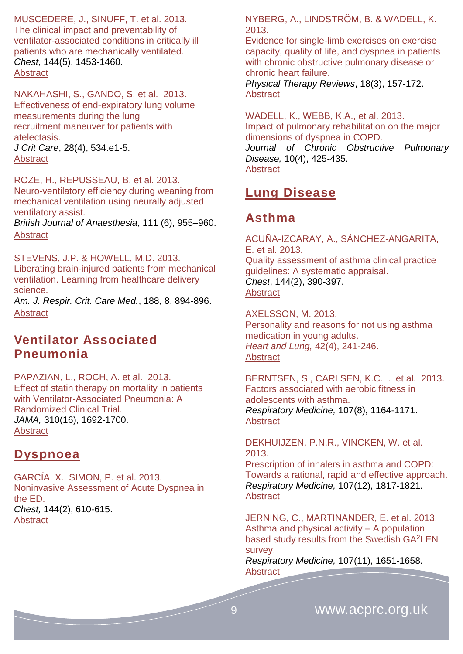MUSCEDERE, J., SINUFF, T. et al. 2013. The clinical impact and preventability of ventilator-associated conditions in critically ill patients who are mechanically ventilated. *Chest,* 144(5), 1453-1460. **[Abstract](http://journal.publications.chestnet.org/article.aspx?articleID=1736969)** 

NAKAHASHI, S., GANDO, S. et al. 2013. Effectiveness of end-expiratory lung volume measurements during the lung recruitment maneuver for patients with atelectasis. *J Crit Care*, 28(4), 534.e1-5. **[Abstract](http://www.ncbi.nlm.nih.gov/pubmed/?term=J+Crit+Care%2C+28(4)%3A534.e1-5.)** 

ROZE, H., REPUSSEAU, B. et al. 2013. Neuro-ventilatory efficiency during weaning from mechanical ventilation using neurally adjusted ventilatory assist.

*British Journal of Anaesthesia*, 111 (6), 955–960. **[Abstract](http://bja.oxfordjournals.org/content/111/6/955.abstract)** 

STEVENS, J.P. & HOWELL, M.D. 2013. Liberating brain-injured patients from mechanical ventilation. Learning from healthcare delivery science.

*Am. J. Respir. Crit. Care Med.*, 188, 8, 894-896. **[Abstract](http://www.atsjournals.org/doi/abs/10.1164/rccm.201308-1486ED#.U02Mn_ldUjo)** 

### <span id="page-8-0"></span>**Ventilator Associated Pneumonia**

PAPAZIAN, L., ROCH, A. et al. 2013. Effect of statin therapy on mortality in patients with Ventilator-Associated Pneumonia: A Randomized Clinical Trial. *JAMA,* 310(16), 1692-1700. **[Abstract](http://www.ncbi.nlm.nih.gov/pubmed/24108510)** 

### <span id="page-8-1"></span>**Dyspnoea**

GARCÍA, X., SIMON, P. et al. 2013. Noninvasive Assessment of Acute Dyspnea in the ED. *Chest,* 144(2), 610-615. **[Abstract](http://journal.publications.chestnet.org/article.aspx?articleID=1661160)** 

NYBERG, A., LINDSTRÖM, B. & WADELL, K. 2013.

Evidence for single-limb exercises on exercise capacity, quality of life, and dyspnea in patients with chronic obstructive pulmonary disease or chronic heart failure. *Physical Therapy Reviews*, 18(3), 157-172.

[Abstract](http://www.maneyonline.com/doi/abs/10.1179/1743288X13Y.0000000072?queryID=%24%7BresultBean.queryID%7D)

WADELL, K., WEBB, K.A., et al. 2013. Impact of pulmonary rehabilitation on the major dimensions of dyspnea in COPD. *Journal of Chronic Obstructive Pulmonary Disease,* 10(4), 425-435. **[Abstract](http://informahealthcare.com/doi/abs/10.3109/15412555.2012.758696)** 

### <span id="page-8-2"></span>**Lung Disease**

### <span id="page-8-3"></span>**Asthma**

ACUÑA-IZCARAY, A., SÁNCHEZ-ANGARITA, E. et al. 2013. Quality assessment of asthma clinical practice guidelines: A systematic appraisal. *Chest*, 144(2), 390-397. **[Abstract](http://journal.publications.chestnet.org/article.aspx?articleID=1656402)** 

AXELSSON, M. 2013. [Personality and reasons for not using asthma](http://www.sciencedirect.com/science/article/pii/S0147956313000162)  [medication in young adults.](http://www.sciencedirect.com/science/article/pii/S0147956313000162) *Heart and Lung,* 42(4), 241-246. **[Abstract](http://www.sciencedirect.com/science/article/pii/S0147956313000162)** 

BERNTSEN, S., CARLSEN, K.C.L. et al. 2013. Factors associated with aerobic fitness in adolescents with asthma. *Respiratory Medicine,* 107(8), 1164-1171. **[Abstract](http://www.resmedjournal.com/article/S0954-6111(13)00138-8/abstract)** 

DEKHUIJZEN, P.N.R., VINCKEN, W. et al. 2013.

Prescription of inhalers in asthma and COPD: Towards a rational, rapid and effective approach. *Respiratory Medicine,* 107(12), 1817-1821. [Abstract](http://www.resmedjournal.com/article/S0954-6111(13)00378-8/abstract)

JERNING, C., MARTINANDER, E. et al. 2013. Asthma and physical activity – A population based study results from the Swedish GA<sup>2</sup>LEN survey.

*Respiratory Medicine,* 107(11), 1651-1658. **[Abstract](http://www.resmedjournal.com/article/S0954-6111(13)00342-9/abstract)**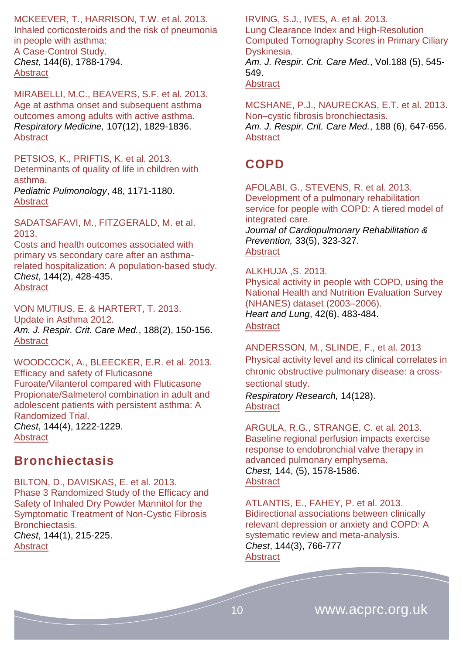MCKEEVER, T., HARRISON, T.W. et al. 2013. Inhaled corticosteroids and the risk of pneumonia in people with asthma: A Case-Control Study. *Chest*, 144(6), 1788-1794. **[Abstract](http://journal.publications.chestnet.org/article.aspx?articleID=1733331)** 

MIRABELLI, M.C., BEAVERS, S.F. et al. 2013. Age at asthma onset and subsequent asthma outcomes among adults with active asthma. *Respiratory Medicine,* 107(12), 1829-1836. [Abstract](http://www.resmedjournal.com/article/S0954-6111(13)00409-5/abstract)

PETSIOS, K., PRIFTIS, K. et al. 2013. Determinants of quality of life in children with asthma.

*Pediatric Pulmonology*, 48, 1171-1180. **[Abstract](http://onlinelibrary.wiley.com/doi/10.1002/ppul.22768/abstract)** 

SADATSAFAVI, M., FITZGERALD, M. et al. 2013.

Costs and health outcomes associated with primary vs secondary care after an asthmarelated hospitalization: A population-based study. *Chest*, 144(2), 428-435. **[Abstract](http://journal.publications.chestnet.org/article.aspx?articleID=1669366)** 

VON MUTIUS, E. & HARTERT, T. 2013. Update in Asthma 2012. *Am. J. Respir. Crit. Care Med.*, 188(2), 150-156. **[Abstract](http://www.atsjournals.org/doi/abs/10.1164/rccm.201303-0468UP#.U2qFTPldUjp)** 

WOODCOCK, A., BLEECKER, E.R. et al. 2013. Efficacy and safety of Fluticasone Furoate/Vilanterol compared with Fluticasone Propionate/Salmeterol combination in adult and adolescent patients with persistent asthma: A Randomized Trial. *Chest*, 144(4), 1222-1229.

[Abstract](http://journal.publications.chestnet.org/article.aspx?articleID=1710127)

### <span id="page-9-0"></span>**Bronchiectasis**

BILTON, D., DAVISKAS, E. et al. 2013. Phase 3 Randomized Study of the Efficacy and Safety of Inhaled Dry Powder Mannitol for the Symptomatic Treatment of Non-Cystic Fibrosis Bronchiectasis. *Chest*, 144(1), 215-225.

**[Abstract](http://journal.publications.chestnet.org/article.aspx?articleID=1654277)** 

IRVING, S.J., IVES, A. et al. 2013. Lung Clearance Index and High-Resolution Computed Tomography Scores in Primary Ciliary Dyskinesia. *Am. J. Respir. Crit. Care Med.*, Vol.188 (5), 545- 549. **[Abstract](http://www.atsjournals.org/doi/abs/10.1164/rccm.201304-0800OC#.U2qFUPldUjp)** 

MCSHANE, P.J., NAURECKAS, E.T. et al. 2013. Non–cystic fibrosis bronchiectasis. *Am. J. Respir. Crit. Care Med.*, 188 (6), 647-656. **[Abstract](http://www.atsjournals.org/doi/abs/10.1164/rccm.201303-0411CI#.U2qFT_ldUjp)** 

# <span id="page-9-1"></span>**COPD**

AFOLABI, G., STEVENS, R. et al. 2013. Development of a pulmonary rehabilitation service for people with COPD: A tiered model of integrated care. *Journal of Cardiopulmonary Rehabilitation & Prevention,* 33(5), 323-327. [Abstract](http://journals.lww.com/jcrjournal/Abstract/2013/11000/Association_Between_Peripheral_Muscle_Strength_and.2.aspx)

#### ALKHUJA ,S. 2013.

Physical activity in people with COPD, using the National Health and Nutrition Evaluation Survey (NHANES) dataset (2003–2006). *Heart and Lung*, 42(6), 483-484.

**[Abstract](http://www.sciencedirect.com/science/article/pii/S0147956313003038)** 

ANDERSSON, M., SLINDE, F., et al. 2013 [Physical activity level and its clinical correlates in](http://respiratory-research.com/content/14/1/128)  [chronic obstructive pulmonary disease: a cross](http://respiratory-research.com/content/14/1/128)[sectional study.](http://respiratory-research.com/content/14/1/128)

*Respiratory Research,* 14(128). [Abstract](http://respiratory-research.com/content/14/1/128/abstract)

ARGULA, R.G., STRANGE, C. et al. 2013. Baseline regional perfusion impacts exercise response to endobronchial valve therapy in advanced pulmonary emphysema. *Chest,* 144, (5), 1578-1586. **[Abstract](http://journal.publications.chestnet.org/article.aspx?articleID=1706922)** 

ATLANTIS, E., FAHEY, P. et al. 2013. Bidirectional associations between clinically relevant depression or anxiety and COPD: A systematic review and meta-analysis. *Chest*, 144(3), 766-777 **[Abstract](http://journal.publications.chestnet.org/article.aspx?articleID=1653975)**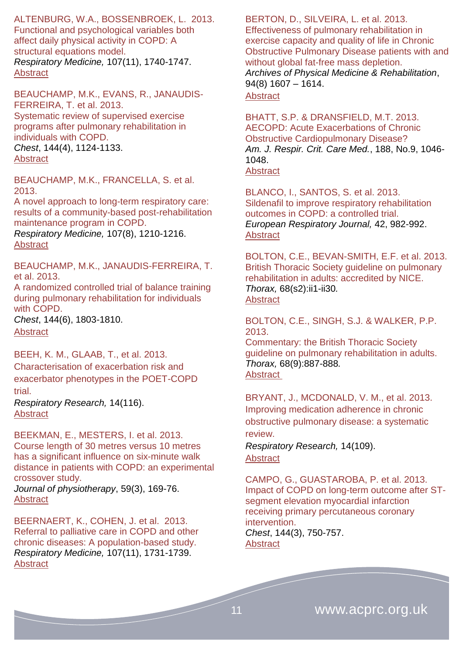ALTENBURG, W.A., BOSSENBROEK, L. 2013. Functional and psychological variables both affect daily physical activity in COPD: A structural equations model. *Respiratory Medicine,* 107(11), 1740-1747. **[Abstract](http://www.resmedjournal.com/article/S0954-6111(13)00214-X/abstract)** 

BEAUCHAMP, M.K., EVANS, R., JANAUDIS-FERREIRA, T. et al. 2013. Systematic review of supervised exercise programs after pulmonary rehabilitation in individuals with COPD. *Chest*, 144(4), 1124-1133. **[Abstract](http://journal.publications.chestnet.org/article.aspx?articleID=1653977)** 

BEAUCHAMP, M.K., FRANCELLA, S. et al. 2013.

A novel approach to long-term respiratory care: results of a community-based post-rehabilitation maintenance program in COPD.

*Respiratory Medicine,* 107(8), 1210-1216. **[Abstract](http://www.resmedjournal.com/article/S0954-6111(13)00163-7/abstract)** 

BEAUCHAMP, M.K., JANAUDIS-FERREIRA, T. et al. 2013.

A randomized controlled trial of balance training during pulmonary rehabilitation for individuals with COPD.

*Chest*, 144(6), 1803-1810. [Abstract](http://journal.publications.chestnet.org/article.aspx?articleID=1730538)

#### BEEH, K. M., GLAAB, T., et al. 2013.

Characterisation of [exacerbation risk and](http://respiratory-research.com/content/14/1/116)  [exacerbator phenotypes in the POET-COPD](http://respiratory-research.com/content/14/1/116)  [trial.](http://respiratory-research.com/content/14/1/116)

*Respiratory Research,* 14(116). **[Abstract](http://respiratory-research.com/content/14/1/116)** 

BEEKMAN, E., MESTERS, I. et al. 2013. Course length of 30 metres versus 10 metres has a significant influence on six-minute walk distance in patients with COPD: an experimental crossover study.

*Journal of physiotherapy*, 59(3), 169-76. [Abstract](http://www.ncbi.nlm.nih.gov/pubmed/23896332)

BEERNAERT, K., COHEN, J. et al. 2013. Referral to palliative care in COPD and other chronic diseases: A population-based study. *Respiratory Medicine,* 107(11), 1731-1739. [Abstract](http://www.resmedjournal.com/article/S0954-6111(13)00215-1/abstract)

BERTON, D., SILVEIRA, L. et al. 2013. Effectiveness of pulmonary rehabilitation in exercise capacity and quality of life in Chronic Obstructive Pulmonary Disease patients with and without global fat-free mass depletion. *Archives of Physical Medicine & Rehabilitation*, 94(8) 1607 – 1614.

#### **[Abstract](http://www.archives-pmr.org/article/S0003-9993(13)00129-9/abstract)**

BHATT, S.P. & DRANSFIELD, M.T. 2013. AECOPD: Acute Exacerbations of Chronic Obstructive Cardiopulmonary Disease? *Am. J. Respir. Crit. Care Med.*, 188, No.9, 1046- 1048. **[Abstract](http://www.atsjournals.org/doi/abs/10.1164/rccm.201309-1651ED#.U2qFTvldUjp)** 

BLANCO, I., SANTOS, S. et al. 2013. Sildenafil to improve respiratory rehabilitation outcomes in COPD: a controlled trial. *European Respiratory Journal,* 42, 982-992. **[Abstract](http://erj.ersjournals.com/content/42/4/982.abstract)** 

BOLTON, C.E., BEVAN-SMITH, E.F. et al. 2013. British Thoracic Society guideline on pulmonary rehabilitation in adults: accredited by NICE. *Thorax,* 68(s2):ii1-ii30*.* [Abstract](http://thorax.bmj.com/content/68/Suppl_2/ii1.extract)

BOLTON, C.E., SINGH, S.J. & WALKER, P.P. 2013.

Commentary: the British Thoracic Society guideline on pulmonary rehabilitation in adults. *Thorax,* 68(9):887-888*.* [Abstract](http://thorax.bmj.com/content/68/9/887.abstract)

BRYANT, J., MCDONALD, V. M., et al. 2013. [Improving medication adherence in chronic](http://respiratory-research.com/content/14/1/109)  [obstructive pulmonary disease: a systematic](http://respiratory-research.com/content/14/1/109)  [review.](http://respiratory-research.com/content/14/1/109)

*Respiratory Research,* 14(109). **[Abstract](http://respiratory-research.com/content/14/1/109/abstract)** 

CAMPO, G., GUASTAROBA, P. et al. 2013. Impact of COPD on long-term outcome after STsegment elevation myocardial infarction receiving primary percutaneous coronary intervention. *Chest*, 144(3), 750-757. [Abstract](http://journal.publications.chestnet.org/article.aspx?articleID=1568888)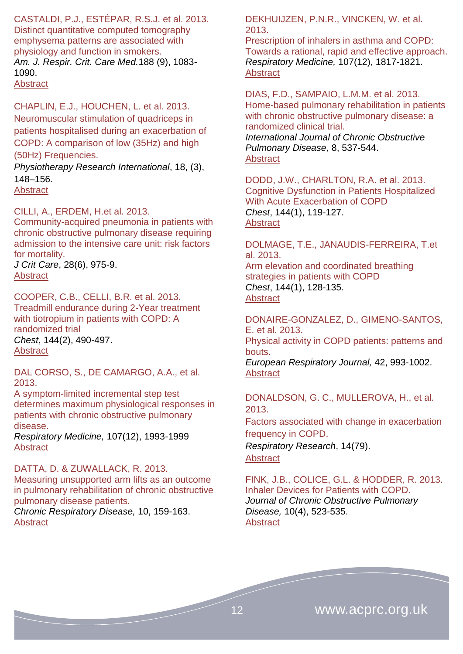CASTALDI, P.J., ESTÉPAR, R.S.J. et al. 2013. Distinct quantitative computed tomography emphysema patterns are associated with physiology and function in smokers. *Am. J. Respir. Crit. Care Med.*188 (9), 1083- 1090.

[Abstract](http://www.atsjournals.org/doi/abs/10.1164/rccm.201305-0873OC#.U2qFTPldUjp)

CHAPLIN, E.J., HOUCHEN, L. et al. 2013. Neuromuscular stimulation of quadriceps in patients hospitalised during an exacerbation of COPD: A comparison of low (35Hz) and high (50Hz) Frequencies.

*Physiotherapy Research International*, 18, (3), 148–156.

**[Abstract](http://www.ncbi.nlm.nih.gov/pubmed/23147984)** 

CILLI, A., ERDEM, H.et al. 2013.

Community-acquired pneumonia in patients with chronic obstructive pulmonary disease requiring admission to the intensive care unit: risk factors for mortality.

*J Crit Care*, 28(6), 975-9. [Abstract](http://www.ncbi.nlm.nih.gov/pubmed/?term=J+Crit+Care%2C+28(6)%2C975-9)

COOPER, C.B., CELLI, B.R. et al. 2013. Treadmill endurance during 2-Year treatment with tiotropium in patients with COPD: A randomized trial *Chest*, 144(2), 490-497. [Abstract](http://journal.publications.chestnet.org/article.aspx?articleID=1675562)

DAL CORSO, S., DE CAMARGO, A.A., et al. 2013.

A symptom-limited incremental step test determines maximum physiological responses in patients with chronic obstructive pulmonary disease.

*Respiratory Medicine,* 107(12), 1993-1999 **[Abstract](http://www.resmedjournal.com/article/S0954-6111(13)00225-4/abstract)** 

DATTA, D. & ZUWALLACK, R. 2013.

Measuring unsupported arm lifts as an outcome in pulmonary rehabilitation of chronic obstructive pulmonary disease patients.

*Chronic Respiratory Disease,* 10, 159-163. **[Abstract](http://www.ncbi.nlm.nih.gov/pubmed/?term=Measuring+unsupported+arm+lifts+as+an+outcome+in+pulmonary+rehabilitation+of+chronic+obstructive+pulmonary+disease+patients)** 

DEKHUIJZEN, P.N.R., VINCKEN, W. et al. 2013.

Prescription of inhalers in asthma and COPD: Towards a rational, rapid and effective approach. *Respiratory Medicine,* 107(12), 1817-1821. **[Abstract](http://www.resmedjournal.com/article/S0954-6111(13)00378-8/abstract)** 

DIAS, F.D., SAMPAIO, L.M.M. et al. 2013. [Home-based pulmonary rehabilitation in patients](https://www.dovepress.com/home-based-pulmonary-rehabilitation-in-patients-with-chronic-obstructi-peer-reviewed-article-COPD)  with chronic obstructive pulmonary disease: a [randomized clinical trial.](https://www.dovepress.com/home-based-pulmonary-rehabilitation-in-patients-with-chronic-obstructi-peer-reviewed-article-COPD) *International Journal of Chronic Obstructive* 

*Pulmonary Disease*, 8, 537-544. **[Abstract](https://www.dovepress.com/home-based-pulmonary-rehabilitation-in-patients-with-chronic-obstructi-peer-reviewed-article-COPD)** 

DODD, J.W., CHARLTON, R.A. et al. 2013. Cognitive Dysfunction in Patients Hospitalized With Acute Exacerbation of COPD *Chest*, 144(1), 119-127. [Abstract](http://journal.publications.chestnet.org/article.aspx?articleID=1559992)

DOLMAGE, T.E., JANAUDIS-FERREIRA, T.et al. 2013. Arm elevation and coordinated breathing strategies in patients with COPD *Chest*, 144(1), 128-135. **[Abstract](http://journal.publications.chestnet.org/article.aspx?articleID=1567240)** 

DONAIRE-GONZALEZ, D., GIMENO-SANTOS, E. et al. 2013. Physical activity in COPD patients: patterns and bouts. *European Respiratory Journal,* 42, 993-1002. [Abstract](http://erj.ersjournals.com/content/42/4/993.abstract)

DONALDSON, G. C., MULLEROVA, H., et al. 2013.

[Factors associated with change in exacerbation](http://respiratory-research.com/content/14/1/79)  [frequency in COPD.](http://respiratory-research.com/content/14/1/79)

*Respiratory Research*, 14(79). **[Abstract](http://respiratory-research.com/content/14/1/79/abstract)** 

FINK, J.B., COLICE, G.L. & HODDER, R. 2013. Inhaler Devices for Patients with COPD. *Journal of Chronic Obstructive Pulmonary Disease,* 10(4), 523-535. **[Abstract](http://informahealthcare.com/doi/abs/10.3109/15412555.2012.761960)**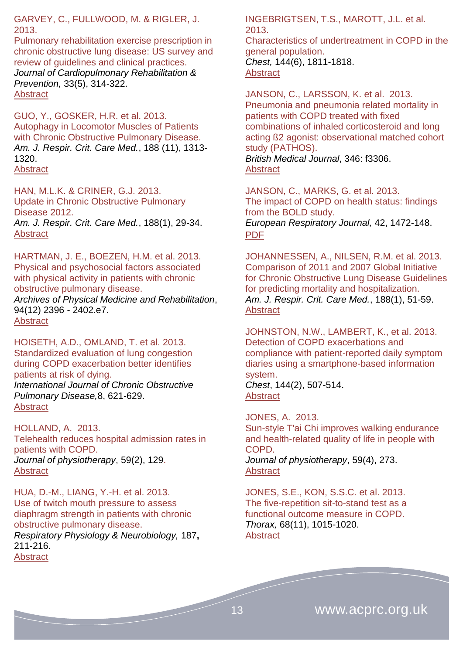GARVEY, C., FULLWOOD, M. & RIGLER, J. 2013.

Pulmonary rehabilitation exercise prescription in chronic obstructive lung disease: US survey and review of guidelines and clinical practices. *Journal of Cardiopulmonary Rehabilitation & Prevention,* 33(5), 314-322. [Abstract](http://journals.lww.com/jcrjournal/Abstract/2013/09000/Pulmonary_Rehabilitation_Exercise_Prescription_in.8.aspx)

GUO, Y., GOSKER, H.R. et al. 2013. Autophagy in Locomotor Muscles of Patients with Chronic Obstructive Pulmonary Disease. *Am. J. Respir. Crit. Care Med.*, 188 (11), 1313- 1320. **[Abstract](http://www.atsjournals.org/doi/abs/10.1164/rccm.201304-0732OC#.U2qFUPldUjp)** 

HAN, M.L.K. & CRINER, G.J. 2013. Update in Chronic Obstructive Pulmonary Disease 2012. *Am. J. Respir. Crit. Care Med.*, 188(1), 29-34. **[Abstract](http://www.atsjournals.org/doi/abs/10.1164/rccm.201302-0319UP#.U2qFTPldUjp)** 

HARTMAN, J. E., BOEZEN, H.M. et al. 2013. Physical and psychosocial factors associated with physical activity in patients with chronic obstructive pulmonary disease. *Archives of Physical Medicine and Rehabilitation*, 94(12) 2396 - 2402.e7.

**[Abstract](http://www.archives-pmr.org/article/S0003-9993(13)00533-9/abstract)** 

HOISETH, A.D., OMLAND, T. et al. 2013. [Standardized evaluation of lung congestion](https://www.dovepress.com/standardized-evaluation-of-lung-congestion-during-copd-exacerbation-be-peer-reviewed-article-COPD)  [during COPD exacerbation better identifies](https://www.dovepress.com/standardized-evaluation-of-lung-congestion-during-copd-exacerbation-be-peer-reviewed-article-COPD)  [patients at risk of dying.](https://www.dovepress.com/standardized-evaluation-of-lung-congestion-during-copd-exacerbation-be-peer-reviewed-article-COPD) *International Journal of Chronic Obstructive Pulmonary Disease,*8, 621-629. [Abstract](https://www.dovepress.com/standardized-evaluation-of-lung-congestion-during-copd-exacerbation-be-peer-reviewed-article-COPD)

HOLLAND, A. 2013. Telehealth reduces hospital admission rates in patients with COPD. *Journal of physiotherapy*, 59(2), 129. **[Abstract](http://www.ncbi.nlm.nih.gov/pubmed/23663801)** 

HUA, D.-M., LIANG, Y.-H. et al. 2013. Use of twitch mouth pressure to assess diaphragm strength in patients with chronic obstructive pulmonary disease. *Respiratory Physiology & Neurobiology,* 187**,** 211-216. **[Abstract](http://www.ncbi.nlm.nih.gov/pubmed/?term=hua+twitch+mouth)** 

INGEBRIGTSEN, T.S., MAROTT, J.L. et al. 2013.

Characteristics of undertreatment in COPD in the general population. *Chest,* 144(6), 1811-1818.

**[Abstract](http://journal.publications.chestnet.org/article.aspx?articleID=1733329)** 

JANSON, C., LARSSON, K. et al. 2013. Pneumonia and pneumonia related mortality in patients with COPD treated with fixed combinations of inhaled corticosteroid and long acting ß2 agonist: observational matched cohort study (PATHOS).

*British Medical Journal*, 346: f3306. **[Abstract](http://www.bmj.com/content/346/bmj.f3306?view=long&pmid=23719639)** 

JANSON, C., MARKS, G. et al. 2013. The impact of COPD on health status: findings from the BOLD study. *European Respiratory Journal,* 42, 1472-148.

[PDF](http://erj.ersjournals.com/content/42/6/1472.full.pdf+html)

JOHANNESSEN, A., NILSEN, R.M. et al. 2013. Comparison of 2011 and 2007 Global Initiative for Chronic Obstructive Lung Disease Guidelines for predicting mortality and hospitalization. *Am. J. Respir. Crit. Care Med.*, 188(1), 51-59. **[Abstract](http://www.atsjournals.org/doi/abs/10.1164/rccm.201212-2276OC#.U2qFUPldUjp)** 

JOHNSTON, N.W., LAMBERT, K., et al. 2013. Detection of COPD exacerbations and compliance with patient-reported daily symptom diaries using a smartphone-based information system.

*Chest*, 144(2), 507-514. **[Abstract](http://journal.publications.chestnet.org/article.aspx?articleID=1669589)** 

JONES, A. 2013. Sun-style T'ai Chi improves walking endurance and health-related quality of life in people with COPD. *Journal of physiotherapy*, 59(4), 273.

**[Abstract](http://www.ncbi.nlm.nih.gov/pubmed/24287224)** 

JONES, S.E., KON, S.S.C. et al. 2013. The five-repetition sit-to-stand test as a functional outcome measure in COPD. *Thorax,* 68(11), 1015-1020. **[Abstract](http://thorax.bmj.com/content/68/11/1015.abstract)**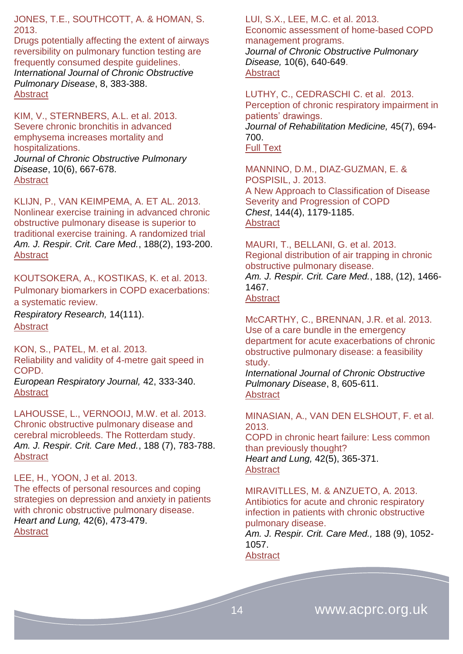JONES, T.E., SOUTHCOTT, A. & HOMAN, S. 2013.

[Drugs potentially affecting the extent of airways](https://www.dovepress.com/drugs-potentially-affecting-the-extent-of-airways-reversibility-on-pul-peer-reviewed-article-COPD)  [reversibility on pulmonary function testing are](https://www.dovepress.com/drugs-potentially-affecting-the-extent-of-airways-reversibility-on-pul-peer-reviewed-article-COPD)  [frequently consumed despite guidelines.](https://www.dovepress.com/drugs-potentially-affecting-the-extent-of-airways-reversibility-on-pul-peer-reviewed-article-COPD) *International Journal of Chronic Obstructive Pulmonary Disease*, 8, 383-388. [Abstract](https://www.dovepress.com/drugs-potentially-affecting-the-extent-of-airways-reversibility-on-pul-peer-reviewed-article-COPD)

KIM, V., STERNBERS, A.L. et al. 2013. Severe chronic bronchitis in advanced emphysema increases mortality and hospitalizations. *Journal of Chronic Obstructive Pulmonary Disease*, 10(6), 667-678.

**[Abstract](http://informahealthcare.com/doi/abs/10.3109/15412555.2013.827166)** 

KLIJN, P., VAN KEIMPEMA, A. ET AL. 2013. Nonlinear exercise training in advanced chronic obstructive pulmonary disease is superior to traditional exercise training. A randomized trial *Am. J. Respir. Crit. Care Med.*, 188(2), 193-200. **[Abstract](http://www.atsjournals.org/doi/abs/10.1164/rccm.201210-1829OC#.U2qFS_ldUjp)** 

KOUTSOKERA, A., KOSTIKAS, K. et al. 2013. [Pulmonary biomarkers in COPD exacerbations:](http://respiratory-research.com/content/14/1/111)  [a systematic review.](http://respiratory-research.com/content/14/1/111)

*Respiratory Research,* 14(111). [Abstract](http://respiratory-research.com/content/14/1/111/abstract)

KON, S., PATEL, M. et al. 2013. Reliability and validity of 4-metre gait speed in COPD.

*European Respiratory Journal,* 42, 333-340. [Abstract](http://erj.ersjournals.com/content/42/2/333.abstract)

LAHOUSSE, L., VERNOOIJ, M.W. et al. 2013. Chronic obstructive pulmonary disease and cerebral microbleeds. The Rotterdam study. *Am. J. Respir. Crit. Care Med.*, 188 (7), 783-788. **[Abstract](http://www.atsjournals.org/doi/abs/10.1164/rccm.201303-0455OC#.U2qFTPldUjp)** 

LEE, H., YOON, J et al. 2013.

The effects of personal resources and coping strategies on depression and anxiety in patients with chronic obstructive pulmonary disease. *Heart and Lung,* 42(6), 473-479. **[Abstract](http://www.sciencedirect.com/science/article/pii/S0147956313002495)** 

LUI, S.X., LEE, M.C. et al. 2013. Economic assessment of home-based COPD

management programs. *Journal of Chronic Obstructive Pulmonary Disease,* 10(6), 640-649. **[Abstract](http://informahealthcare.com/doi/abs/10.3109/15412555.2013.813447)** 

LUTHY, C., CEDRASCHI C. et al. 2013. Perception of chronic respiratory impairment in patients' drawings. *Journal of Rehabilitation Medicine,* 45(7), 694- 700. [Full Text](http://www.medicaljournals.se/jrm/content/?doi=10.2340/16501977-1179&html=1)

MANNINO, D.M., DIAZ-GUZMAN, E. & POSPISIL, J. 2013. A New Approach to Classification of Disease Severity and Progression of COPD *Chest*, 144(4), 1179-1185. **[Abstract](http://journal.publications.chestnet.org/article.aspx?articleID=1661165)** 

MAURI, T., BELLANI, G. et al. 2013. Regional distribution of air trapping in chronic obstructive pulmonary disease. *Am. J. Respir. Crit. Care Med.*, 188, (12), 1466- 1467. [Abstract](http://www.atsjournals.org/doi/abs/10.1164/rccm.201303-0463IM#.U2qFTPldUjp)

McCARTHY, C., BRENNAN, J.R. et al. 2013. [Use of a care bundle in the emergency](https://www.dovepress.com/use-of-a-care-bundle-in-the-emergency-department-for-acute-exacerbatio-peer-reviewed-article-COPD)  [department for acute exacerbations of chronic](https://www.dovepress.com/use-of-a-care-bundle-in-the-emergency-department-for-acute-exacerbatio-peer-reviewed-article-COPD)  [obstructive pulmonary disease: a feasibility](https://www.dovepress.com/use-of-a-care-bundle-in-the-emergency-department-for-acute-exacerbatio-peer-reviewed-article-COPD)  [study.](https://www.dovepress.com/use-of-a-care-bundle-in-the-emergency-department-for-acute-exacerbatio-peer-reviewed-article-COPD)

*International Journal of Chronic Obstructive Pulmonary Disease*, 8, 605-611. [Abstract](https://www.dovepress.com/use-of-a-care-bundle-in-the-emergency-department-for-acute-exacerbatio-peer-reviewed-article-COPD)

MINASIAN, A., VAN DEN ELSHOUT, F. et al. 2013.

COPD in chronic heart failure: Less common than previously thought? *Heart and Lung,* 42(5), 365-371. **[Abstract](http://www.sciencedirect.com/science/article/pii/S0147956313002422)** 

MIRAVITLLES, M. & ANZUETO, A. 2013. Antibiotics for acute and chronic respiratory infection in patients with chronic obstructive pulmonary disease.

*Am. J. Respir. Crit. Care Med.,* 188 (9), 1052- 1057.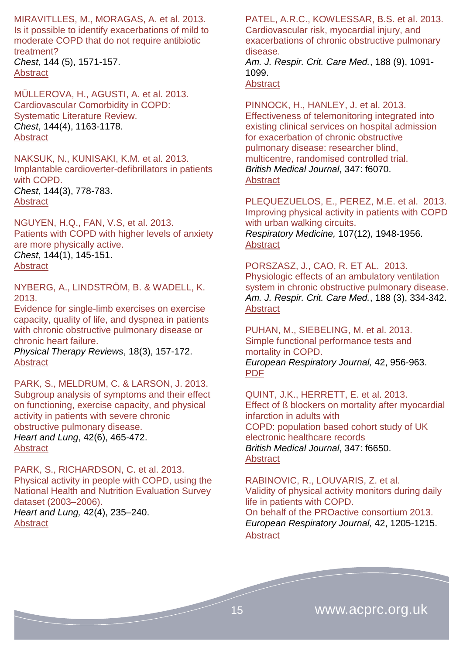MIRAVITLLES, M., MORAGAS, A. et al. 2013. Is it possible to identify exacerbations of mild to moderate COPD that do not require antibiotic treatment? *Chest*, 144 (5), 1571-157. **[Abstract](http://journal.publications.chestnet.org/article.aspx?articleID=1700714)** 

MÜLLEROVA, H., AGUSTI, A. et al. 2013. Cardiovascular Comorbidity in COPD: Systematic Literature Review. *Chest*, 144(4), 1163-1178. [Abstract](http://journal.publications.chestnet.org/article.aspx?articleID=1691932)

NAKSUK, N., KUNISAKI, K.M. et al. 2013. Implantable cardioverter-defibrillators in patients with COPD. *Chest*, 144(3), 778-783. **[Abstract](http://journal.publications.chestnet.org/article.aspx?articleID=1687326)** 

NGUYEN, H.Q., FAN, V.S, et al. 2013. Patients with COPD with higher levels of anxiety are more physically active. *Chest*, 144(1), 145-151. **[Abstract](http://journal.publications.chestnet.org/article.aspx?articleID=1567236)** 

NYBERG, A., LINDSTRÖM, B. & WADELL, K. 2013.

Evidence for single-limb exercises on exercise capacity, quality of life, and dyspnea in patients with chronic obstructive pulmonary disease or chronic heart failure.

*Physical Therapy Reviews*, 18(3), 157-172. **[Abstract](http://www.maneyonline.com/doi/abs/10.1179/1743288X13Y.0000000072?queryID=%24%7BresultBean.queryID%7D)** 

PARK, S., MELDRUM, C. & LARSON, J. 2013. Subgroup analysis of symptoms and their effect on functioning, exercise capacity, and physical activity in patients with severe chronic obstructive pulmonary disease. *Heart and Lung*, 42(6), 465-472. [Abstract](http://www.sciencedirect.com/science/article/pii/S0147956313002914)

PARK, S., RICHARDSON, C. et al. 2013. Physical activity in people with COPD, using the National Health and Nutrition Evaluation Survey dataset (2003–2006). *Heart and Lung,* 42(4), 235–240. **[Abstract](http://www.sciencedirect.com/science/article/pii/S0147956313001374)** 

PATEL, A.R.C., KOWLESSAR, B.S. et al. 2013. Cardiovascular risk, myocardial injury, and exacerbations of chronic obstructive pulmonary disease. *Am. J. Respir. Crit. Care Med.*, 188 (9), 1091-

1099. **[Abstract](http://www.atsjournals.org/doi/abs/10.1164/rccm.201306-1170OC#.U2qFUPldUjp)** 

PINNOCK, H., HANLEY, J. et al. 2013. Effectiveness of telemonitoring integrated into existing clinical services on hospital admission for exacerbation of chronic obstructive pulmonary disease: researcher blind, multicentre, randomised controlled trial. *British Medical Journal*, 347: f6070. **[Abstract](http://www.bmj.com/content/347/bmj.f6070?view=long&pmid=24136634)** 

PLEQUEZUELOS, E., PEREZ, M.E. et al. 2013. Improving physical activity in patients with COPD with urban walking circuits. *Respiratory Medicine,* 107(12), 1948-1956. **[Abstract](http://www.resmedjournal.com/article/S0954-6111(13)00261-8/abstract)** 

PORSZASZ, J., CAO, R. ET AL. 2013. Physiologic effects of an ambulatory ventilation system in chronic obstructive pulmonary disease. *Am. J. Respir. Crit. Care Med.*, 188 (3), 334-342. **[Abstract](http://www.atsjournals.org/doi/abs/10.1164/rccm.201210-1773OC#.U2qFTPldUjp)** 

PUHAN, M., SIEBELING, M. et al. 2013. Simple functional performance tests and mortality in COPD. *European Respiratory Journal,* 42, 956-963. [PDF](http://erj.ersjournals.com/content/42/4/956.full.pdf+html)

QUINT, J.K., HERRETT, E. et al. 2013. Effect of ß blockers on mortality after myocardial infarction in adults with COPD: population based cohort study of UK electronic healthcare records *British Medical Journal*, 347: f6650. **[Abstract](http://www.bmj.com/content/347/bmj.f6650?view=long&pmid=24270505)** 

RABINOVIC, R., LOUVARIS, Z. et al. Validity of physical activity monitors during daily life in patients with COPD. On behalf of the PROactive consortium 2013. *European Respiratory Journal,* 42, 1205-1215. **[Abstract](http://erj.ersjournals.com/content/42/5/1205.abstract)**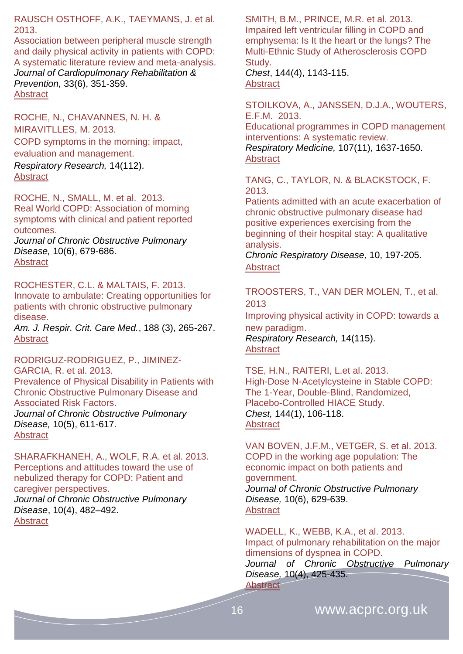RAUSCH OSTHOFF, A.K., TAEYMANS, J. et al. 2013.

Association between peripheral muscle strength and daily physical activity in patients with COPD: A systematic literature review and meta-analysis. *Journal of Cardiopulmonary Rehabilitation & Prevention,* 33(6), 351-359. [Abstract](http://journals.lww.com/jcrjournal/Abstract/2013/11000/Association_Between_Peripheral_Muscle_Strength_and.2.aspx)

ROCHE, N., CHAVANNES, N. H. & MIRAVITLLES, M. 2013. [COPD symptoms in the morning: impact,](http://respiratory-research.com/content/14/1/112)  [evaluation and management.](http://respiratory-research.com/content/14/1/112)

*Respiratory Research,* 14(112). [Abstract](http://respiratory-research.com/content/14/1/112/abstract)

ROCHE, N., SMALL, M. et al. 2013. Real World COPD: Association of morning symptoms with clinical and patient reported outcomes.

*Journal of Chronic Obstructive Pulmonary Disease,* 10(6), 679-686. **[Abstract](http://informahealthcare.com/doi/abs/10.3109/15412555.2013.844784)** 

# ROCHESTER, C.L. & MALTAIS, F. 2013.

Innovate to ambulate: Creating opportunities for patients with chronic obstructive pulmonary disease.

*Am. J. Respir. Crit. Care Med.*, 188 (3), 265-267. **[Abstract](http://www.atsjournals.org/doi/abs/10.1164/rccm.201306-1050ED#.U2qFUPldUjp)** 

RODRIGUZ-RODRIGUEZ, P., JIMINEZ-GARCIA, R. et al. 2013. Prevalence of Physical Disability in Patients with Chronic Obstructive Pulmonary Disease and Associated Risk Factors. *Journal of Chronic Obstructive Pulmonary Disease,* 10(5), 611-617. **[Abstract](http://informahealthcare.com/doi/abs/10.3109/15412555.2013.781150)** 

SHARAFKHANEH, A., WOLF, R.A. et al. 2013. Perceptions and attitudes toward the use of nebulized therapy for COPD: Patient and caregiver perspectives. *Journal of Chronic Obstructive Pulmonary Disease*, 10(4), 482–492. [Abstract](http://informahealthcare.com/toc/cop/10/4)

SMITH, B.M., PRINCE, M.R. et al. 2013. Impaired left ventricular filling in COPD and emphysema: Is It the heart or the lungs? The Multi-Ethnic Study of Atherosclerosis COPD Study.

*Chest*, 144(4), 1143-115. [Abstract](http://journal.publications.chestnet.org/article.aspx?articleID=1697567)

STOILKOVA, A., JANSSEN, D.J.A., WOUTERS, E.F.M. 2013.

Educational programmes in COPD management interventions: A systematic review. *Respiratory Medicine,* 107(11), 1637-1650. **[Abstract](http://www.resmedjournal.com/article/S0954-6111(13)00303-X/abstract)** 

TANG, C., TAYLOR, N. & BLACKSTOCK, F. 2013.

Patients admitted with an acute exacerbation of chronic obstructive pulmonary disease had positive experiences exercising from the beginning of their hospital stay: A qualitative analysis.

*Chronic Respiratory Disease,* 10, 197-205. [Abstract](http://www.ncbi.nlm.nih.gov/pubmed/?term=Patients+admitted+with+an+acute+exacerbation+of+chronic+obstructive+pulmonary+disease+had+positive+experiences+exercising+from+the+beginning+of+their+hospital+stay%3A+A+qualitative+analysis)

#### TROOSTERS, T., VAN DER MOLEN, T., et al. 2013

[Improving physical activity in COPD: towards a](http://respiratory-research.com/content/14/1/115)  [new paradigm.](http://respiratory-research.com/content/14/1/115)

*Respiratory Research,* 14(115). **[Abstract](http://respiratory-research.com/content/14/1/115/abstract)** 

TSE, H.N., RAITERI, L.et al. 2013. High-Dose N-Acetylcysteine in Stable COPD: The 1-Year, Double-Blind, Randomized, Placebo-Controlled HIACE Study. *Chest,* 144(1), 106-118. **[Abstract](http://journal.publications.chestnet.org/article.aspx?articleID=1559995)** 

VAN BOVEN, J.F.M., VETGER, S. et al. 2013. COPD in the working age population: The economic impact on both patients and government. *Journal of Chronic Obstructive Pulmonary Disease,* 10(6), 629-639. [Abstract](http://informahealthcare.com/doi/abs/10.3109/15412555.2013.813446)

WADELL, K., WEBB, K.A., et al. 2013. Impact of pulmonary rehabilitation on the major dimensions of dyspnea in COPD.

*Journal of Chronic Obstructive Pulmonary Disease,* 10(4), 425-435. **[Abstract](http://informahealthcare.com/doi/abs/10.3109/15412555.2012.758696)**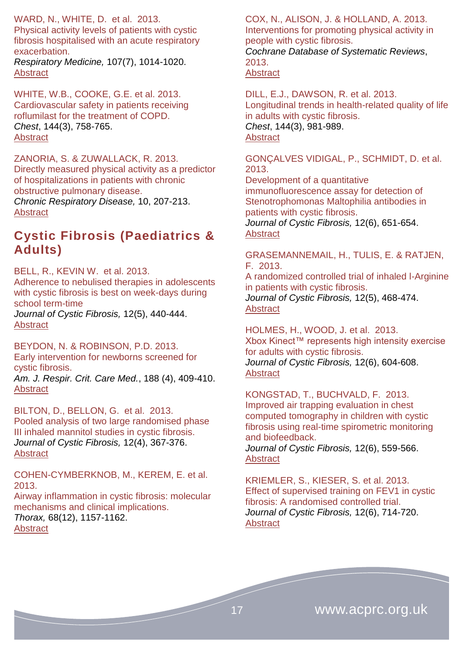WARD, N., WHITE, D. et al. 2013. Physical activity levels of patients with cystic fibrosis hospitalised with an acute respiratory

exacerbation. *Respiratory Medicine,* 107(7), 1014-1020. **[Abstract](http://www.resmedjournal.com/article/S0954-6111(13)00070-X/abstract#article-footnote-☆)** 

WHITE, W.B., COOKE, G.E. et al. 2013. Cardiovascular safety in patients receiving roflumilast for the treatment of COPD. *Chest*, 144(3), 758-765. [Abstract](http://journal.publications.chestnet.org/article.aspx?articleID=1573738)

ZANORIA, S. & ZUWALLACK, R. 2013. Directly measured physical activity as a predictor of hospitalizations in patients with chronic obstructive pulmonary disease.

*Chronic Respiratory Disease,* 10, 207-213. [Abstract](http://www.ncbi.nlm.nih.gov/pubmed/?term=Directly+measured+physical+activity+as+a+predictor+of+hospitalizations+in+patients+with+chronic+obstructive+pulmonary+disease)

# <span id="page-16-0"></span>**Cystic Fibrosis (Paediatrics & Adults)**

BELL, R., KEVIN W. et al. 2013. Adherence to nebulised therapies in adolescents with cystic fibrosis is best on week-days during school term-time

*Journal of Cystic Fibrosis,* 12(5), 440-444. [Abstract](http://www.cysticfibrosisjournal.com/article/S1569-1993(13)00005-2/abstract)

BEYDON, N. & ROBINSON, P.D. 2013. Early intervention for newborns screened for cystic fibrosis.

*Am. J. Respir. Crit. Care Med.*, 188 (4), 409-410. **[Abstract](http://www.atsjournals.org/doi/abs/10.1164/rccm.201306-1023ED#.U2qFTPldUjp)** 

BILTON, D., BELLON, G. et al. 2013. Pooled analysis of two large randomised phase III inhaled mannitol studies in cystic fibrosis. *Journal of Cystic Fibrosis,* 12(4), 367-376. [Abstract](http://www.cysticfibrosisjournal.com/article/S1569-1993(12)00206-8/abstract)

COHEN-CYMBERKNOB, M., KEREM, E. et al. 2013.

Airway inflammation in cystic fibrosis: molecular mechanisms and clinical implications. *Thorax,* 68(12), 1157-1162. [Abstract](http://thorax.bmj.com/content/68/12/1157.abstract)

COX, N., ALISON, J. & HOLLAND, A. 2013. Interventions for promoting physical activity in people with cystic fibrosis. *Cochrane Database of Systematic Reviews*,

2013. **[Abstract](http://www.ncbi.nlm.nih.gov/pubmed/24338214)** 

DILL, E.J., DAWSON, R. et al. 2013. Longitudinal trends in health-related quality of life in adults with cystic fibrosis. *Chest*, 144(3), 981-989. [Abstract](http://journal.publications.chestnet.org/article.aspx?articleID=1686267)

GONÇALVES VIDIGAL, P., SCHMIDT, D. et al. 2013.

Development of a quantitative immunofluorescence assay for detection of Stenotrophomonas Maltophilia antibodies in patients with cystic fibrosis. *Journal of Cystic Fibrosis,* 12(6), 651-654. **[Abstract](http://www.cysticfibrosisjournal.com/article/S1569-1993(13)00070-2/abstract)** 

GRASEMANNEMAIL, H., TULIS, E. & RATJEN, F. 2013. A randomized controlled trial of inhaled l-Arginine

in patients with cystic fibrosis. *Journal of Cystic Fibrosis,* 12(5), 468-474. **[Abstract](http://www.cysticfibrosisjournal.com/article/S1569-1993(12)00241-X/abstract)** 

HOLMES, H., WOOD, J. et al. 2013. Xbox Kinect™ represents high intensity exercise for adults with cystic fibrosis. *Journal of Cystic Fibrosis,* 12(6), 604-608. **[Abstract](http://www.cysticfibrosisjournal.com/article/S1569-1993(13)00081-7/abstract)** 

KONGSTAD, T., BUCHVALD, F. 2013. Improved air trapping evaluation in chest computed tomography in children with cystic fibrosis using real-time spirometric monitoring and biofeedback. *Journal of Cystic Fibrosis,* 12(6), 559-566. **[Abstract](http://www.cysticfibrosisjournal.com/article/S1569-1993(13)00103-3/abstract)** 

KRIEMLER, S., KIESER, S. et al. 2013. Effect of supervised training on FEV1 in cystic fibrosis: A randomised controlled trial. *Journal of Cystic Fibrosis,* 12(6), 714-720. [Abstract](http://www.cysticfibrosisjournal.com/article/S1569-1993(13)00039-8/abstract)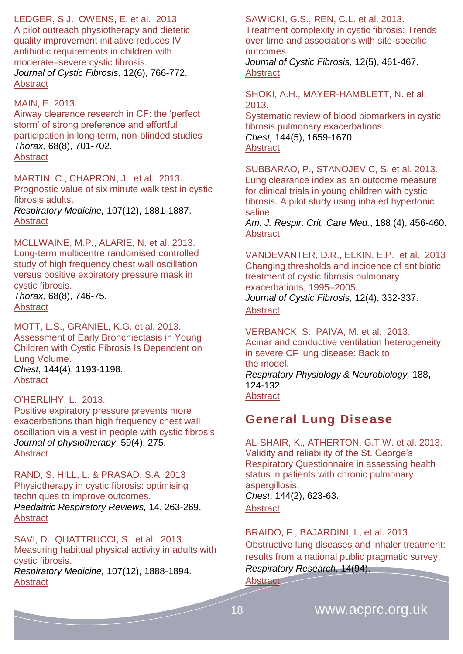LEDGER, S.J., OWENS, E. et al. 2013.

A pilot outreach physiotherapy and dietetic quality improvement initiative reduces IV antibiotic requirements in children with moderate–severe cystic fibrosis. *Journal of Cystic Fibrosis,* 12(6), 766-772. [Abstract](http://www.cysticfibrosisjournal.com/article/S1569-1993(13)00010-6/abstract)

#### MAIN, E. 2013.

Airway clearance research in CF: the 'perfect storm' of strong preference and effortful participation in long-term, non-blinded studies *Thorax,* 68(8), 701-702. **[Abstract](http://thorax.bmj.com/content/68/8/701.extract)** 

MARTIN, C., CHAPRON, J. et al. 2013. Prognostic value of six minute walk test in cystic fibrosis adults. *Respiratory Medicine,* 107(12), 1881-1887. [Abstract](http://www.resmedjournal.com/article/S0954-6111(13)00411-3/abstract)

MCLLWAINE, M.P., ALARIE, N. et al. 2013. Long-term multicentre randomised controlled study of high frequency chest wall oscillation versus positive expiratory pressure mask in cystic fibrosis.

*Thorax,* 68(8), 746-75. **[Abstract](http://thorax.bmj.com/content/68/8/746.abstract)** 

MOTT, L.S., GRANIEL, K.G. et al. 2013. Assessment of Early Bronchiectasis in Young Children with Cystic Fibrosis Is Dependent on Lung Volume. *Chest*, 144(4), 1193-1198. **[Abstract](http://journal.publications.chestnet.org/article.aspx?articleID=1687327)** 

#### O'HERLIHY, L. 2013.

Positive expiratory pressure prevents more exacerbations than high frequency chest wall oscillation via a vest in people with cystic fibrosis. *Journal of physiotherapy*, 59(4), 275. [Abstract](http://www.ncbi.nlm.nih.gov/pubmed/24287226)

RAND, S. HILL, L. & PRASAD, S.A. 2013 Physiotherapy in cystic fibrosis: optimising techniques to improve outcomes. *Paedaitric Respiratory Reviews,* 14, 263-269. [Abstract](http://www.ncbi.nlm.nih.gov/pubmed/24209461)

SAVI, D., QUATTRUCCI, S. et al. 2013. Measuring habitual physical activity in adults with cystic fibrosis. *Respiratory Medicine,* 107(12), 1888-1894.

**[Abstract](http://www.resmedjournal.com/article/S0954-6111(13)00377-6/abstract)** 

SAWICKI, G.S., REN, C.L. et al. 2013. Treatment complexity in cystic fibrosis: Trends over time and associations with site-specific outcomes

*Journal of Cystic Fibrosis,* 12(5), 461-467. **[Abstract](http://www.cysticfibrosisjournal.com/article/S1569-1993(13)00002-7/abstract)** 

SHOKI, A.H., MAYER-HAMBLETT, N. et al. 2013.

Systematic review of blood biomarkers in cystic fibrosis pulmonary exacerbations. *Chest,* 144(5), 1659-1670. **[Abstract](http://journal.publications.chestnet.org/article.aspx?articleID=1714566)** 

SUBBARAO, P., STANOJEVIC, S. et al. 2013. Lung clearance index as an outcome measure for clinical trials in young children with cystic fibrosis. A pilot study using inhaled hypertonic saline.

*Am. J. Respir. Crit. Care Med.*, 188 (4), 456-460. [Abstract](http://www.atsjournals.org/doi/abs/10.1164/rccm.201302-0219OC#.U2qFTfldUjp)

VANDEVANTER, D.R., ELKIN, E.P. et al. 2013 Changing thresholds and incidence of antibiotic treatment of cystic fibrosis pulmonary exacerbations, 1995–2005. *Journal of Cystic Fibrosis,* 12(4), 332-337. **[Abstract](http://www.cysticfibrosisjournal.com/article/S1569-1993(12)00228-7/abstract)** 

VERBANCK, S., PAIVA, M. et al. 2013. Acinar and conductive ventilation heterogeneity in severe CF lung disease: Back to the model. *Respiratory Physiology & Neurobiology,* 188**,** 124-132. **[Abstract](http://www.ncbi.nlm.nih.gov/pubmed/23692927)** 

### <span id="page-17-0"></span>**General Lung Disease**

AL-SHAIR, K., ATHERTON, G.T.W. et al. 2013. Validity and reliability of the St. George's Respiratory Questionnaire in assessing health status in patients with chronic pulmonary aspergillosis. *Chest*, 144(2), 623-63. **[Abstract](http://journal.publications.chestnet.org/article.aspx?articleID=1356946)** 

BRAIDO, F., BAJARDINI, I., et al. 2013. [Obstructive lung diseases and inhaler treatment:](http://respiratory-research.com/content/14/1/94)  [results from a national public pragmatic survey.](http://respiratory-research.com/content/14/1/94) *Respiratory Research,* 14(94).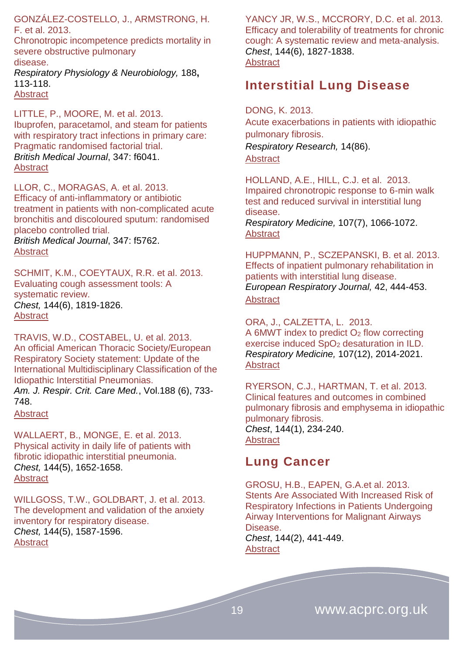GONZÁLEZ-COSTELLO, J., ARMSTRONG, H. F. et al. 2013.

Chronotropic incompetence predicts mortality in severe obstructive pulmonary disease. *Respiratory Physiology & Neurobiology,* 188**,** 113-118. **[Abstract](http://www.ncbi.nlm.nih.gov/pubmed/23669496)** 

LITTLE, P., MOORE, M. et al. 2013. Ibuprofen, paracetamol, and steam for patients with respiratory tract infections in primary care: Pragmatic randomised factorial trial. *British Medical Journal*, 347: f6041. **[Abstract](http://www.bmj.com/content/347/bmj.f6041?view=long&pmid=24162940)** 

LLOR, C., MORAGAS, A. et al. 2013. Efficacy of anti-inflammatory or antibiotic treatment in patients with non-complicated acute bronchitis and discoloured sputum: randomised placebo controlled trial. *British Medical Journal*, 347: f5762. **[Abstract](http://www.bmj.com/content/347/bmj.f5762?view=long&pmid=24097128)** 

SCHMIT, K.M., COEYTAUX, R.R. et al. 2013. Evaluating cough assessment tools: A systematic review. *Chest,* 144(6), 1819-1826. [Abstract](http://journal.publications.chestnet.org/article.aspx?articleID=1725194)

TRAVIS, W.D., COSTABEL, U. et al. 2013. An official American Thoracic Society/European Respiratory Society statement: Update of the International Multidisciplinary Classification of the Idiopathic Interstitial Pneumonias. *Am. J. Respir. Crit. Care Med.*, Vol.188 (6), 733- 748.

[Abstract](http://www.atsjournals.org/doi/abs/10.1164/rccm.201308-1483ST#.U2qFTfldUjp)

WALLAERT, B., MONGE, E. et al. 2013. Physical activity in daily life of patients with fibrotic idiopathic interstitial pneumonia. *Chest,* 144(5), 1652-1658. **[Abstract](http://journal.publications.chestnet.org/article.aspx?articleID=1725200)** 

WILLGOSS, T.W., GOLDBART, J. et al. 2013. The development and validation of the anxiety inventory for respiratory disease. *Chest,* 144(5), 1587-1596. **[Abstract](http://journal.publications.chestnet.org/article.aspx?articleID=1722748)** 

YANCY JR, W.S., MCCRORY, D.C. et al. 2013. Efficacy and tolerability of treatments for chronic cough: A systematic review and meta-analysis. *Chest*, 144(6), 1827-1838. **[Abstract](http://journal.publications.chestnet.org/article.aspx?articleID=1725197)** 

### <span id="page-18-0"></span>**Interstitial Lung Disease**

DONG, K. 2013.

[Acute exacerbations in patients with idiopathic](http://respiratory-research.com/content/14/1/86)  [pulmonary fibrosis.](http://respiratory-research.com/content/14/1/86) *Respiratory Research,* 14(86). **[Abstract](http://respiratory-research.com/content/14/1/86/abstract)** 

HOLLAND, A.E., HILL, C.J. et al. 2013. Impaired chronotropic response to 6-min walk test and reduced survival in interstitial lung disease. *Respiratory Medicine,* 107(7), 1066-1072. [Abstract](http://www.resmedjournal.com/article/S0954-6111(13)00131-5/abstract)

HUPPMANN, P., SCZEPANSKI, B. et al. 2013. Effects of inpatient pulmonary rehabilitation in patients with interstitial lung disease. *European Respiratory Journal,* 42, 444-453. [Abstract](http://erj.ersjournals.com/content/42/2/444.abstract)

ORA, J., CALZETTA, L. 2013. A 6MWT index to predict  $O<sub>2</sub>$  flow correcting exercise induced SpO<sup>2</sup> desaturation in ILD. *Respiratory Medicine,* 107(12), 2014-2021. **[Abstract](http://www.resmedjournal.com/article/S0954-6111(13)00412-5/abstract)** 

RYERSON, C.J., HARTMAN, T. et al. 2013. Clinical features and outcomes in combined pulmonary fibrosis and emphysema in idiopathic pulmonary fibrosis. *Chest*, 144(1), 234-240.

**[Abstract](http://journal.publications.chestnet.org/article.aspx?articleID=1567239)** 

#### <span id="page-18-1"></span>**Lung Cancer**

GROSU, H.B., EAPEN, G.A.et al. 2013. Stents Are Associated With Increased Risk of Respiratory Infections in Patients Undergoing Airway Interventions for Malignant Airways Disease. *Chest*, 144(2), 441-449.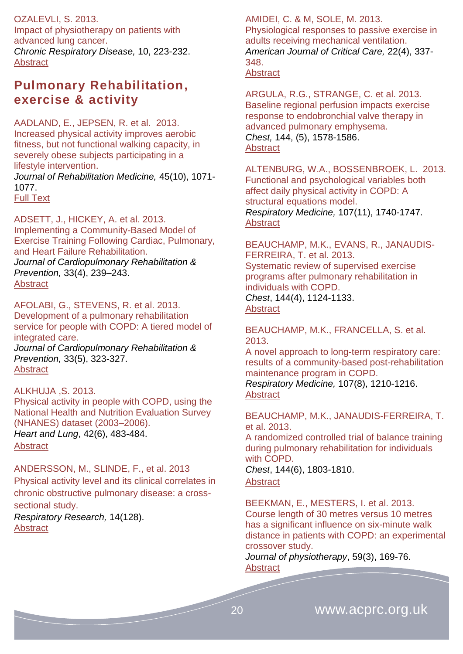OZALEVLI, S. 2013. Impact of physiotherapy on patients with advanced lung cancer. *Chronic Respiratory Disease,* 10, 223-232. [Abstract](http://www.ncbi.nlm.nih.gov/pubmed/24177683)

### <span id="page-19-0"></span>**Pulmonary Rehabilitation, exercise & activity**

AADLAND, E., JEPSEN, R. et al. 2013. Increased physical activity improves aerobic fitness, but not functional walking capacity, in severely obese subjects participating in a lifestyle intervention.

*Journal of Rehabilitation Medicine,* 45(10), 1071- 1077.

[Full Text](http://www.medicaljournals.se/jrm/content/?doi=10.2340/16501977-1205&html=1) 

ADSETT, J., HICKEY, A. et al. 2013. Implementing a Community-Based Model of Exercise Training Following Cardiac, Pulmonary, and Heart Failure Rehabilitation. *Journal of Cardiopulmonary Rehabilitation & Prevention,* 33(4), 239–243. [Abstract](http://journals.lww.com/jcrjournal/Abstract/2013/07000/Implementing_a_Community_Based_Model_of_Exercise.7.aspx)

AFOLABI, G., STEVENS, R. et al. 2013. Development of a pulmonary rehabilitation service for people with COPD: A tiered model of integrated care. *Journal of Cardiopulmonary Rehabilitation & Prevention,* 33(5), 323-327. [Abstract](http://journals.lww.com/jcrjournal/Abstract/2013/11000/Association_Between_Peripheral_Muscle_Strength_and.2.aspx)

ALKHUJA ,S. 2013. Physical activity in people with COPD, using the National Health and Nutrition Evaluation Survey (NHANES) dataset (2003–2006). *Heart and Lung*, 42(6), 483-484. [Abstract](http://www.sciencedirect.com/science/article/pii/S0147956313003038)

ANDERSSON, M., SLINDE, F., et al. 2013 [Physical activity level and its clinical correlates in](http://respiratory-research.com/content/14/1/128)  [chronic obstructive pulmonary disease: a cross](http://respiratory-research.com/content/14/1/128)[sectional study.](http://respiratory-research.com/content/14/1/128)

*Respiratory Research,* 14(128). [Abstract](http://respiratory-research.com/content/14/1/128/abstract)

AMIDEI, C. & M, SOLE, M. 2013. Physiological responses to passive exercise in adults receiving mechanical ventilation. *American Journal of Critical Care,* 22(4), 337- 348. **[Abstract](http://ajcc.aacnjournals.org/content/22/4/337.abstract)** 

ARGULA, R.G., STRANGE, C. et al. 2013. Baseline regional perfusion impacts exercise response to endobronchial valve therapy in advanced pulmonary emphysema. *Chest,* 144, (5), 1578-1586. [Abstract](http://journal.publications.chestnet.org/article.aspx?articleID=1706922)

ALTENBURG, W.A., BOSSENBROEK, L. 2013. Functional and psychological variables both affect daily physical activity in COPD: A structural equations model. *Respiratory Medicine,* 107(11), 1740-1747. [Abstract](http://www.resmedjournal.com/article/S0954-6111(13)00214-X/abstract)

BEAUCHAMP, M.K., EVANS, R., JANAUDIS-FERREIRA, T. et al. 2013. Systematic review of supervised exercise programs after pulmonary rehabilitation in individuals with COPD. *Chest*, 144(4), 1124-1133. **[Abstract](http://journal.publications.chestnet.org/article.aspx?articleID=1653977)** 

BEAUCHAMP, M.K., FRANCELLA, S. et al. 2013.

A novel approach to long-term respiratory care: results of a community-based post-rehabilitation maintenance program in COPD. *Respiratory Medicine,* 107(8), 1210-1216. [Abstract](http://www.resmedjournal.com/article/S0954-6111(13)00163-7/abstract)

BEAUCHAMP, M.K., JANAUDIS-FERREIRA, T. et al. 2013.

A randomized controlled trial of balance training during pulmonary rehabilitation for individuals with COPD.

*Chest*, 144(6), 1803-1810.

**[Abstract](http://journal.publications.chestnet.org/article.aspx?articleID=1730538)** 

BEEKMAN, E., MESTERS, I. et al. 2013.

Course length of 30 metres versus 10 metres has a significant influence on six-minute walk distance in patients with COPD: an experimental crossover study.

*Journal of physiotherapy*, 59(3), 169-76. **[Abstract](http://www.ncbi.nlm.nih.gov/pubmed/23896332)**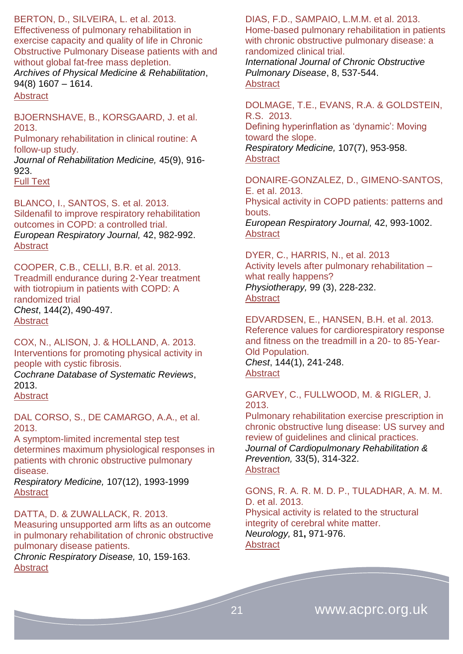#### BERTON, D., SILVEIRA, L. et al. 2013.

Effectiveness of pulmonary rehabilitation in exercise capacity and quality of life in Chronic Obstructive Pulmonary Disease patients with and without global fat-free mass depletion. *Archives of Physical Medicine & Rehabilitation*,

94(8) 1607 – 1614.

**[Abstract](http://www.archives-pmr.org/article/S0003-9993(13)00129-9/abstract)** 

BJOERNSHAVE, B., KORSGAARD, J. et al. 2013.

Pulmonary rehabilitation in clinical routine: A follow-up study.

*Journal of Rehabilitation Medicine,* 45(9), 916- 923.

[Full Text](http://www.medicaljournals.se/jrm/content/?doi=10.2340/16501977-1199&html=1)

BLANCO, I., SANTOS, S. et al. 2013. Sildenafil to improve respiratory rehabilitation outcomes in COPD: a controlled trial. *European Respiratory Journal,* 42, 982-992. **[Abstract](http://erj.ersjournals.com/content/42/4/982.abstract)** 

COOPER, C.B., CELLI, B.R. et al. 2013. Treadmill endurance during 2-Year treatment with tiotropium in patients with COPD: A randomized trial *Chest*, 144(2), 490-497. **[Abstract](http://journal.publications.chestnet.org/article.aspx?articleID=1675562)** 

COX, N., ALISON, J. & HOLLAND, A. 2013. Interventions for promoting physical activity in people with cystic fibrosis.

*Cochrane Database of Systematic Reviews*, 2013.

**[Abstract](http://www.ncbi.nlm.nih.gov/pubmed/24338214)** 

DAL CORSO, S., DE CAMARGO, A.A., et al. 2013.

A symptom-limited incremental step test determines maximum physiological responses in patients with chronic obstructive pulmonary disease.

*Respiratory Medicine,* 107(12), 1993-1999 [Abstract](http://www.resmedjournal.com/article/S0954-6111(13)00225-4/abstract)

DATTA, D. & ZUWALLACK, R. 2013. Measuring unsupported arm lifts as an outcome in pulmonary rehabilitation of chronic obstructive pulmonary disease patients.

*Chronic Respiratory Disease,* 10, 159-163. **[Abstract](http://www.ncbi.nlm.nih.gov/pubmed/?term=Measuring+unsupported+arm+lifts+as+an+outcome+in+pulmonary+rehabilitation+of+chronic+obstructive+pulmonary+disease+patients)** 

DIAS, F.D., SAMPAIO, L.M.M. et al. 2013. [Home-based pulmonary rehabilitation in patients](https://www.dovepress.com/home-based-pulmonary-rehabilitation-in-patients-with-chronic-obstructi-peer-reviewed-article-COPD)  [with chronic obstructive pulmonary disease: a](https://www.dovepress.com/home-based-pulmonary-rehabilitation-in-patients-with-chronic-obstructi-peer-reviewed-article-COPD)  [randomized clinical trial.](https://www.dovepress.com/home-based-pulmonary-rehabilitation-in-patients-with-chronic-obstructi-peer-reviewed-article-COPD)

*International Journal of Chronic Obstructive Pulmonary Disease*, 8, 537-544. [Abstract](https://www.dovepress.com/home-based-pulmonary-rehabilitation-in-patients-with-chronic-obstructi-peer-reviewed-article-COPD)

DOLMAGE, T.E., EVANS, R.A. & GOLDSTEIN, R.S. 2013. Defining hyperinflation as 'dynamic': Moving toward the slope. *Respiratory Medicine,* 107(7), 953-958.

**[Abstract](http://www.resmedjournal.com/article/S0954-6111(13)00061-9/abstract)** 

DONAIRE-GONZALEZ, D., GIMENO-SANTOS, E. et al. 2013. Physical activity in COPD patients: patterns and bouts.

*European Respiratory Journal,* 42, 993-1002. **[Abstract](http://erj.ersjournals.com/content/42/4/993.abstract)** 

DYER, C., HARRIS, N., et al. 2013 Activity levels after pulmonary rehabilitation – what really happens? *Physiotherapy,* 99 (3), 228-232. [Abstract](http://www.physiotherapyjournal.com/article/S0031-9406(12)00032-6/abstract)

EDVARDSEN, E., HANSEN, B.H. et al. 2013. Reference values for cardiorespiratory response and fitness on the treadmill in a 20- to 85-Year-Old Population. *Chest*, 144(1), 241-248. [Abstract](http://journal.publications.chestnet.org/article.aspx?articleID=1555394)

GARVEY, C., FULLWOOD, M. & RIGLER, J. 2013.

Pulmonary rehabilitation exercise prescription in chronic obstructive lung disease: US survey and review of guidelines and clinical practices. *Journal of Cardiopulmonary Rehabilitation & Prevention,* 33(5), 314-322. [Abstract](http://journals.lww.com/jcrjournal/Abstract/2013/09000/Pulmonary_Rehabilitation_Exercise_Prescription_in.8.aspx)

GONS, R. A. R. M. D. P., TULADHAR, A. M. M. D. et al. 2013. Physical activity is related to the structural integrity of cerebral white matter. *Neurology,* 81**,** 971-976. **[Abstract](http://www.ncbi.nlm.nih.gov/pubmed/?term=gons+physical+activity+2013)** 

21 www.acprc.org.uk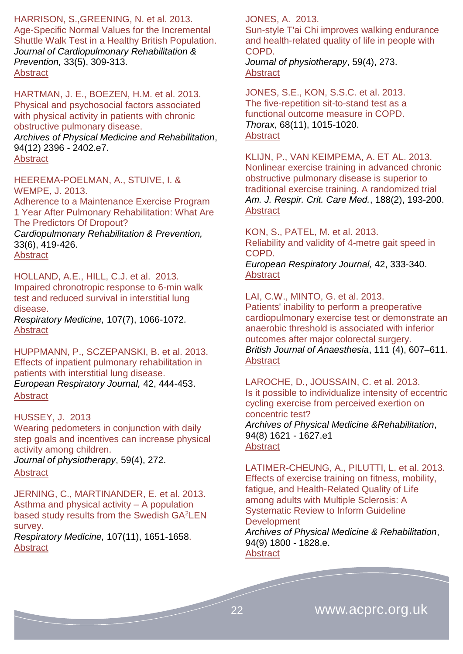HARRISON, S.,GREENING, N. et al. 2013. Age-Specific Normal Values for the Incremental Shuttle Walk Test in a Healthy British Population. *Journal of Cardiopulmonary Rehabilitation & Prevention,* 33(5), 309-313. **[Abstract](http://journals.lww.com/jcrjournal/Abstract/2013/09000/Age_Specific_Normal_Values_for_the_Incremental.7.aspx)** 

HARTMAN, J. E., BOEZEN, H.M. et al. 2013. Physical and psychosocial factors associated with physical activity in patients with chronic obstructive pulmonary disease. *Archives of Physical Medicine and Rehabilitation*, 94(12) 2396 - 2402.e7. **[Abstract](http://www.archives-pmr.org/article/S0003-9993(13)00533-9/abstract)** 

#### HEEREMA-POELMAN, A., STUIVE, I. & WEMPE, J. 2013.

Adherence to a Maintenance Exercise Program 1 Year After Pulmonary Rehabilitation: What Are The Predictors Of Dropout?

*Cardiopulmonary Rehabilitation & Prevention,*  33(6), 419-426. [Abstract](http://journals.lww.com/jcrjournal/Abstract/2013/11000/Adherence_to_a_Maintenance_Exercise_Program_1_Year.11.aspx)

HOLLAND, A.E., HILL, C.J. et al. 2013. Impaired chronotropic response to 6-min walk test and reduced survival in interstitial lung disease.

*Respiratory Medicine,* 107(7), 1066-1072. **[Abstract](http://www.resmedjournal.com/article/S0954-6111(13)00131-5/abstract)** 

HUPPMANN, P., SCZEPANSKI, B. et al. 2013. Effects of inpatient pulmonary rehabilitation in patients with interstitial lung disease. *European Respiratory Journal,* 42, 444-453. **[Abstract](http://erj.ersjournals.com/content/42/2/444.abstract)** 

#### HUSSEY, J. 2013

Wearing pedometers in conjunction with daily step goals and incentives can increase physical activity among children.

*Journal of physiotherapy*, 59(4), 272. **[Abstract](http://www.ncbi.nlm.nih.gov/pubmed/24287223)** 

JERNING, C., MARTINANDER, E. et al. 2013. Asthma and physical activity – A population based study results from the Swedish GA<sup>2</sup>LEN survey. *Respiratory Medicine,* 107(11), 1651-1658.

[Abstract](http://www.resmedjournal.com/article/S0954-6111(13)00342-9/abstract)

#### JONES, A. 2013.

Sun-style T'ai Chi improves walking endurance and health-related quality of life in people with COPD.

*Journal of physiotherapy*, 59(4), 273. **[Abstract](http://www.ncbi.nlm.nih.gov/pubmed/24287224)** 

JONES, S.E., KON, S.S.C. et al. 2013. The five-repetition sit-to-stand test as a functional outcome measure in COPD. *Thorax,* 68(11), 1015-1020. **[Abstract](http://thorax.bmj.com/content/68/11/1015.abstract)** 

KLIJN, P., VAN KEIMPEMA, A. ET AL. 2013. Nonlinear exercise training in advanced chronic obstructive pulmonary disease is superior to traditional exercise training. A randomized trial *Am. J. Respir. Crit. Care Med.*, 188(2), 193-200. **[Abstract](http://www.atsjournals.org/doi/abs/10.1164/rccm.201210-1829OC#.U2qFS_ldUjp)** 

KON, S., PATEL, M. et al. 2013. Reliability and validity of 4-metre gait speed in COPD.

*European Respiratory Journal,* 42, 333-340. [Abstract](http://erj.ersjournals.com/content/42/2/333.abstract)

LAI, C.W., MINTO, G. et al. 2013.

Patients' inability to perform a preoperative cardiopulmonary exercise test or demonstrate an anaerobic threshold is associated with inferior outcomes after major colorectal surgery. *British Journal of Anaesthesia*, 111 (4), 607–611. [Abstract](http://bja.oxfordjournals.org/content/111/4/607.abstract)

LAROCHE, D., JOUSSAIN, C. et al. 2013. Is it possible to individualize intensity of eccentric cycling exercise from perceived exertion on concentric test? *Archives of Physical Medicine &Rehabilitation*, 94(8) 1621 - 1627.e1 **[Abstract](http://www.archives-pmr.org/article/S0003-9993(12)01246-4/abstract)** 

LATIMER-CHEUNG, A., PILUTTI, L. et al. 2013. Effects of exercise training on fitness, mobility, fatigue, and Health-Related Quality of Life among adults with Multiple Sclerosis: A Systematic Review to Inform Guideline **Development** 

*Archives of Physical Medicine & Rehabilitation*, 94(9) 1800 - 1828.e. **[Abstract](http://www.archives-pmr.org/article/S0003-9993(13)00361-4/abstract)**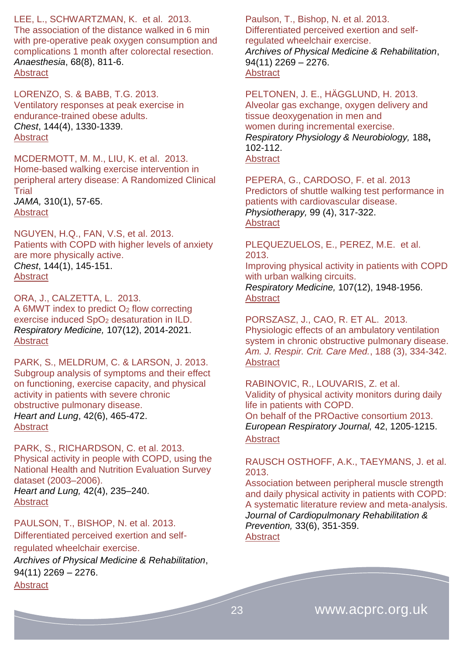LEE, L., SCHWARTZMAN, K. et al. 2013. The association of the distance walked in 6 min with pre-operative peak oxygen consumption and complications 1 month after colorectal resection. *Anaesthesia*, 68(8), 811-6. **[Abstract](http://www.ncbi.nlm.nih.gov/pubmed/?term=Anaesthesia%2C+68(8)%3A811-6)** 

LORENZO, S. & BABB, T.G. 2013. Ventilatory responses at peak exercise in endurance-trained obese adults. *Chest*, 144(4), 1330-1339. [Abstract](http://journal.publications.chestnet.org/article.aspx?articleID=1691934)

MCDERMOTT, M. M., LIU, K. et al. 2013. Home-based walking exercise intervention in peripheral artery disease: A Randomized Clinical Trial *JAMA,* 310(1), 57-65. [Abstract](http://www.ncbi.nlm.nih.gov/pubmed/23821089)

NGUYEN, H.Q., FAN, V.S, et al. 2013. Patients with COPD with higher levels of anxiety are more physically active. *Chest*, 144(1), 145-151. **[Abstract](http://journal.publications.chestnet.org/article.aspx?articleID=1567236)** 

ORA, J., CALZETTA, L. 2013. A 6MWT index to predict  $O<sub>2</sub>$  flow correcting exercise induced SpO<sub>2</sub> desaturation in ILD. *Respiratory Medicine,* 107(12), 2014-2021. [Abstract](http://www.resmedjournal.com/article/S0954-6111(13)00412-5/abstract)

PARK, S., MELDRUM, C. & LARSON, J. 2013. Subgroup analysis of symptoms and their effect on functioning, exercise capacity, and physical activity in patients with severe chronic obstructive pulmonary disease. *Heart and Lung*, 42(6), 465-472. **[Abstract](http://www.sciencedirect.com/science/article/pii/S0147956313002914)** 

PARK, S., RICHARDSON, C. et al. 2013. Physical activity in people with COPD, using the National Health and Nutrition Evaluation Survey dataset (2003–2006). *Heart and Lung,* 42(4), 235–240. [Abstract](http://www.sciencedirect.com/science/article/pii/S0147956313001374)

PAULSON, T., BISHOP, N. et al. 2013. Differentiated perceived exertion and selfregulated wheelchair exercise. *Archives of Physical Medicine & Rehabilitation*, 94(11) 2269 – 2276. **[Abstract](http://www.archives-pmr.org/article/S0003-9993(13)00279-7/abstract)** 

Paulson, T., Bishop, N. et al. 2013. Differentiated perceived exertion and selfregulated wheelchair exercise. *Archives of Physical Medicine & Rehabilitation*,  $94(11)$  2269 - 2276. **[Abstract](http://www.archives-pmr.org/article/S0003-9993(13)00279-7/abstract)** 

PELTONEN, J. E., HÄGGLUND, H. 2013. Alveolar gas exchange, oxygen delivery and tissue deoxygenation in men and women during incremental exercise. *Respiratory Physiology & Neurobiology,* 188**,** 102-112. **[Abstract](http://www.ncbi.nlm.nih.gov/pubmed/23707876)** 

PEPERA, G., CARDOSO, F. et al. 2013 Predictors of shuttle walking test performance in patients with cardiovascular disease. *Physiotherapy,* 99 (4), 317-322. [Abstract](http://www.physiotherapyjournal.com/article/S0031-9406(13)00020-5/abstract)

PLEQUEZUELOS, E., PEREZ, M.E. et al. 2013. Improving physical activity in patients with COPD with urban walking circuits. *Respiratory Medicine,* 107(12), 1948-1956. [Abstract](http://www.resmedjournal.com/article/S0954-6111(13)00261-8/abstract)

PORSZASZ, J., CAO, R. ET AL. 2013. Physiologic effects of an ambulatory ventilation system in chronic obstructive pulmonary disease. *Am. J. Respir. Crit. Care Med.*, 188 (3), 334-342. **[Abstract](http://www.atsjournals.org/doi/abs/10.1164/rccm.201210-1773OC#.U2qFTPldUjp)** 

RABINOVIC, R., LOUVARIS, Z. et al. Validity of physical activity monitors during daily life in patients with COPD. On behalf of the PROactive consortium 2013. *European Respiratory Journal,* 42, 1205-1215. **[Abstract](http://erj.ersjournals.com/content/42/5/1205.abstract)** 

RAUSCH OSTHOFF, A.K., TAEYMANS, J. et al. 2013.

Association between peripheral muscle strength and daily physical activity in patients with COPD: A systematic literature review and meta-analysis. *Journal of Cardiopulmonary Rehabilitation & Prevention,* 33(6), 351-359. [Abstract](http://journals.lww.com/jcrjournal/Abstract/2013/11000/Association_Between_Peripheral_Muscle_Strength_and.2.aspx)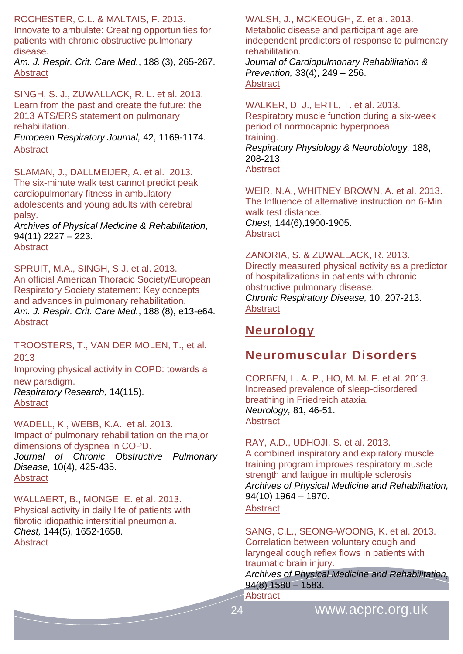ROCHESTER, C.L. & MALTAIS, F. 2013.

Innovate to ambulate: Creating opportunities for patients with chronic obstructive pulmonary disease.

*Am. J. Respir. Crit. Care Med.*, 188 (3), 265-267. **[Abstract](http://www.atsjournals.org/doi/abs/10.1164/rccm.201306-1050ED#.U2qFUPldUjp)** 

SINGH, S. J., ZUWALLACK, R. L. et al. 2013. Learn from the past and create the future: the 2013 ATS/ERS statement on pulmonary rehabilitation.

*European Respiratory Journal,* 42, 1169-1174. [Abstract](http://erj.ersjournals.com/content/42/5/1169.extract)

SLAMAN, J., DALLMEIJER, A. et al. 2013. The six-minute walk test cannot predict peak cardiopulmonary fitness in ambulatory adolescents and young adults with cerebral palsy.

*Archives of Physical Medicine & Rehabilitation*, 94(11) 2227 – 223. **[Abstract](http://www.archives-pmr.org/article/S0003-9993(13)00454-1/abstract)** 

SPRUIT, M.A., SINGH, S.J. et al. 2013. An official American Thoracic Society/European Respiratory Society statement: Key concepts and advances in pulmonary rehabilitation. *Am. J. Respir. Crit. Care Med.*, 188 (8), e13-e64. **[Abstract](http://www.atsjournals.org/doi/abs/10.1164/rccm.201309-1634ST#.U2qFTvldUjp)** 

TROOSTERS, T., VAN DER MOLEN, T., et al. 2013

[Improving physical activity in COPD: towards a](http://respiratory-research.com/content/14/1/115)  [new paradigm.](http://respiratory-research.com/content/14/1/115) *Respiratory Research,* 14(115). [Abstract](http://respiratory-research.com/content/14/1/115/abstract)

WADELL, K., WEBB, K.A., et al. 2013. Impact of pulmonary rehabilitation on the major dimensions of dyspnea in COPD. *Journal of Chronic Obstructive Pulmonary Disease,* 10(4), 425-435.

**[Abstract](http://informahealthcare.com/doi/abs/10.3109/15412555.2012.758696)** 

WALLAERT, B., MONGE, E. et al. 2013. Physical activity in daily life of patients with fibrotic idiopathic interstitial pneumonia. *Chest,* 144(5), 1652-1658. **[Abstract](http://journal.publications.chestnet.org/article.aspx?articleID=1725200)** 

WALSH, J., MCKEOUGH, Z. et al. 2013. Metabolic disease and participant age are independent predictors of response to pulmonary rehabilitation.

*Journal of Cardiopulmonary Rehabilitation & Prevention,* 33(4), 249 – 256. [Abstract](http://journals.lww.com/jcrjournal/Abstract/2013/07000/Metabolic_Disease_and_Participant_Age_Are.9.aspx)

WALKER, D. J., ERTL, T. et al. 2013. Respiratory muscle function during a six-week period of normocapnic hyperpnoea training. *Respiratory Physiology & Neurobiology,* 188**,** 208-213. **[Abstract](http://www.ncbi.nlm.nih.gov/pubmed/23689008)** 

WEIR, N.A., WHITNEY BROWN, A. et al. 2013. The Influence of alternative instruction on 6-Min walk test distance. *Chest,* 144(6),1900-1905. **[Abstract](http://journal.publications.chestnet.org/article.aspx?articleID=1730572)** 

ZANORIA, S. & ZUWALLACK, R. 2013. Directly measured physical activity as a predictor of hospitalizations in patients with chronic obstructive pulmonary disease. *Chronic Respiratory Disease,* 10, 207-213. **[Abstract](http://www.ncbi.nlm.nih.gov/pubmed/?term=Directly+measured+physical+activity+as+a+predictor+of+hospitalizations+in+patients+with+chronic+obstructive+pulmonary+disease)** 

### <span id="page-23-0"></span>**Neurology**

### <span id="page-23-1"></span>**Neuromuscular Disorders**

CORBEN, L. A. P., HO, M. M. F. et al. 2013. Increased prevalence of sleep-disordered breathing in Friedreich ataxia. *Neurology,* 81**,** 46-51. **[Abstract](http://www.ncbi.nlm.nih.gov/pubmed/?term=corben+neurology+2013)** 

RAY, A.D., UDHOJI, S. et al. 2013. A combined inspiratory and expiratory muscle training program improves respiratory muscle strength and fatigue in multiple sclerosis *Archives of Physical Medicine and Rehabilitation,* 94(10) 1964 – 1970. **[Abstract](http://www.archives-pmr.org/article/S0003-9993(13)00400-0/abstract)** 

SANG, C.L., SEONG-WOONG, K. et al. 2013. Correlation between voluntary cough and laryngeal cough reflex flows in patients with traumatic brain injury.

*Archives of Physical Medicine and Rehabilitation,* 94(8) 1580 – 1583.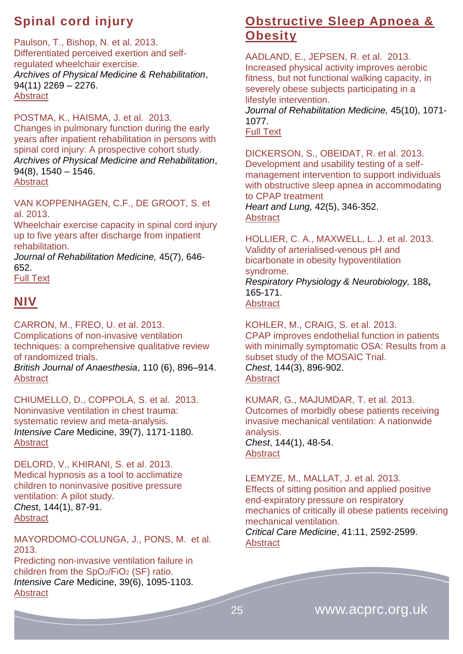# <span id="page-24-0"></span>**Spinal cord injury**

Paulson, T., Bishop, N. et al. 2013. Differentiated perceived exertion and selfregulated wheelchair exercise. *Archives of Physical Medicine & Rehabilitation*, 94(11) 2269 – 2276. **[Abstract](http://www.archives-pmr.org/article/S0003-9993(13)00279-7/abstract)** 

POSTMA, K., HAISMA, J. et al. 2013. Changes in pulmonary function during the early years after inpatient rehabilitation in persons with spinal cord injury: A prospective cohort study. *Archives of Physical Medicine and Rehabilitation*,  $94(8)$ ,  $1540 - 1546$ . [Abstract](http://www.archives-pmr.org/article/S0003-9993(13)00130-5/abstract)

VAN KOPPENHAGEN, C.F., DE GROOT, S. et al. 2013.

Wheelchair exercise capacity in spinal cord injury up to five years after discharge from inpatient rehabilitation.

*Journal of Rehabilitation Medicine,* 45(7), 646- 652.

[Full Text](http://www.medicaljournals.se/jrm/content/?doi=10.2340/16501977-1149&html=1) 

# <span id="page-24-1"></span>**NIV**

CARRON, M., FREO, U. et al. 2013. Complications of non-invasive ventilation techniques: a comprehensive qualitative review of randomized trials.

*British Journal of Anaesthesia*, 110 (6), 896–914. **[Abstract](http://bja.oxfordjournals.org/content/110/6/896.abstract)** 

CHIUMELLO, D., COPPOLA, S. et al. 2013. [Noninvasive ventilation in chest trauma:](http://link.springer.com/article/10.1007/s00134-013-2901-4)  [systematic review and meta-analysis.](http://link.springer.com/article/10.1007/s00134-013-2901-4) *[Intensive Care](http://link.springer.com/journal/134)* Medicine, 3[9\(7\)](http://link.springer.com/journal/134/39/7/page/1), 1171-1180. **[Abstract](http://icmjournal.esicm.org/journals/abstract.html?v=39&j=134&i=7&a=2901_10.1007_s00134-013-2901-4&doi=)** 

DELORD, V., KHIRANI, S. et al. 2013. Medical hypnosis as a tool to acclimatize children to noninvasive positive pressure ventilation: A pilot study. *Ches*t, 144(1), 87-91. [Abstract](http://journal.publications.chestnet.org/article.aspx?articleID=1568887)

MAYORDOMO-COLUNGA, J., PONS, M. et al. 2013.

[Predicting non-invasive ventilation failure in](http://link.springer.com/article/10.1007/s00134-013-2880-5)  children from the  $SpO_2/FiO_2$  (SF) ratio. *[Intensive Care](http://link.springer.com/journal/134)* Medicine, 3[9\(6\)](http://link.springer.com/journal/134/39/6/page/1), 1095-1103. **[Abstract](http://icmjournal.esicm.org/journals/abstract.html?v=39&j=134&i=6&a=2880_10.1007_s00134-013-2880-5&doi=)** 

# <span id="page-24-2"></span>**Obstructive Sleep Apnoea & Obesity**

AADLAND, E., JEPSEN, R. et al. 2013. Increased physical activity improves aerobic fitness, but not functional walking capacity, in severely obese subjects participating in a lifestyle intervention.

*Journal of Rehabilitation Medicine,* 45(10), 1071- 1077.

[Full Text](http://www.medicaljournals.se/jrm/content/?doi=10.2340/16501977-1205&html=1) 

DICKERSON, S., OBEIDAT, R. et al. 2013. Development and usability testing of a selfmanagement intervention to support individuals with obstructive sleep apnea in accommodating to CPAP treatment

*Heart and Lung,* 42(5), 346-352. **[Abstract](http://www.sciencedirect.com/science/article/pii/S0147956313002513)** 

HOLLIER, C. A., MAXWELL, L. J. et al. 2013. Validity of arterialised-venous pH and bicarbonate in obesity hypoventilation syndrome.

*Respiratory Physiology & Neurobiology,* 188**,** 165-171. **[Abstract](http://www.ncbi.nlm.nih.gov/pubmed/?term=hollier+validity+arterialised)** 

KOHLER, M., CRAIG, S. et al. 2013. CPAP improves endothelial function in patients with minimally symptomatic OSA: Results from a subset study of the MOSAIC Trial. *Chest*, 144(3), 896-902. **[Abstract](http://journal.publications.chestnet.org/article.aspx?articleID=1690824)** 

KUMAR, G., MAJUMDAR, T. et al. 2013. Outcomes of morbidly obese patients receiving invasive mechanical ventilation: A nationwide analysis. *Chest*, 144(1), 48-54. **[Abstract](http://journal.publications.chestnet.org/article.aspx?articleID=1559994)** 

LEMYZE, M., MALLAT, J. et al. 2013. Effects of sitting position and applied positive end-expiratory pressure on respiratory mechanics of critically ill obese patients receiving mechanical ventilation. *Critical Care Medicine*, 41:11, 2592-2599.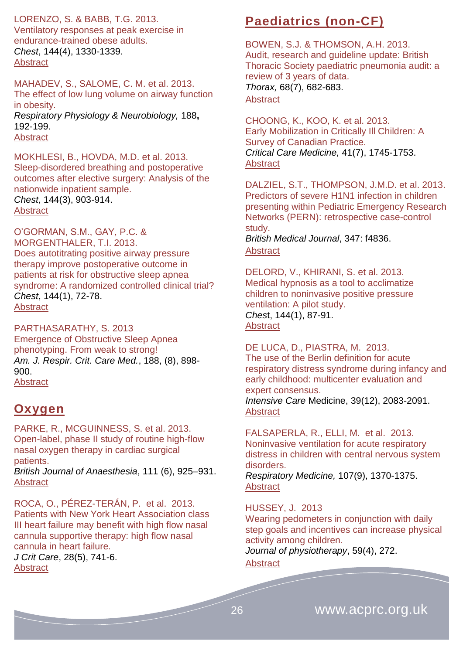LORENZO, S. & BABB, T.G. 2013.

Ventilatory responses at peak exercise in endurance-trained obese adults. *Chest*, 144(4), 1330-1339. [Abstract](http://journal.publications.chestnet.org/article.aspx?articleID=1691934)

MAHADEV, S., SALOME, C. M. et al. 2013. The effect of low lung volume on airway function in obesity. *Respiratory Physiology & Neurobiology,* 188**,** 192-199. **[Abstract](http://www.ncbi.nlm.nih.gov/pubmed/23770312)** 

MOKHLESI, B., HOVDA, M.D. et al. 2013. Sleep-disordered breathing and postoperative outcomes after elective surgery: Analysis of the nationwide inpatient sample. *Chest*, 144(3), 903-914. **[Abstract](http://journal.publications.chestnet.org/article.aspx?articleID=1672183)** 

O'GORMAN, S.M., GAY, P.C. & MORGENTHALER, T.I. 2013. Does autotitrating positive airway pressure therapy improve postoperative outcome in patients at risk for obstructive sleep apnea syndrome: A randomized controlled clinical trial? *Chest*, 144(1), 72-78. [Abstract](http://journal.publications.chestnet.org/article.aspx?articleID=1555392)

PARTHASARATHY, S. 2013 Emergence of Obstructive Sleep Apnea phenotyping. From weak to strong! *Am. J. Respir. Crit. Care Med.*, 188, (8), 898- 900. [Abstract](http://www.atsjournals.org/doi/abs/10.1164/rccm.201309-1587ED#.U02MqfldUjo)

### <span id="page-25-0"></span>**Oxygen**

PARKE, R., MCGUINNESS, S. et al. 2013. Open-label, phase II study of routine high-flow nasal oxygen therapy in cardiac surgical patients. *British Journal of Anaesthesia*, 111 (6), 925–931. [Abstract](http://bja.oxfordjournals.org/content/111/6/925.abstract)

ROCA, O., PÉREZ-TERÁN, P. et al. 2013. Patients with New York Heart Association class III heart failure may benefit with high flow nasal cannula supportive therapy: high flow nasal cannula in heart failure. *J Crit Care*, 28(5), 741-6. **[Abstract](http://www.ncbi.nlm.nih.gov/pubmed/?term=J+Crit+Care%2C+28(5)%3A741-6)** 

# <span id="page-25-1"></span>**Paediatrics (non-CF)**

BOWEN, S.J. & THOMSON, A.H. 2013. Audit, research and guideline update: British Thoracic Society paediatric pneumonia audit: a review of 3 years of data. *Thorax,* 68(7), 682-683. **[Abstract](http://thorax.bmj.com/content/68/7/682.abstract)** 

CHOONG, K., KOO, K. et al. 2013. Early Mobilization in Critically Ill Children: A Survey of Canadian Practice. *Critical Care Medicine,* 41(7), 1745-1753. **[Abstract](http://www.ncbi.nlm.nih.gov/pubmed/23507722)** 

DALZIEL, S.T., THOMPSON, J.M.D. et al. 2013. Predictors of severe H1N1 infection in children presenting within Pediatric Emergency Research Networks (PERN): retrospective case-control study.

*British Medical Journal*, 347: f4836. **[Abstract](http://www.bmj.com/content/347/bmj.f4836?view=long&pmid=23940290)** 

DELORD, V., KHIRANI, S. et al. 2013. Medical hypnosis as a tool to acclimatize children to noninvasive positive pressure ventilation: A pilot study. *Ches*t, 144(1), 87-91.

**[Abstract](http://journal.publications.chestnet.org/article.aspx?articleID=1568887)** 

DE LUCA, D., PIASTRA, M. 2013. [The use of the Berlin definition for acute](http://link.springer.com/article/10.1007/s00134-013-3110-x)  [respiratory distress syndrome during infancy and](http://link.springer.com/article/10.1007/s00134-013-3110-x)  [early childhood: multicenter evaluation and](http://link.springer.com/article/10.1007/s00134-013-3110-x)  [expert consensus.](http://link.springer.com/article/10.1007/s00134-013-3110-x)

*[Intensive Care](http://link.springer.com/journal/134)* Medicine, 3[9\(12\)](http://link.springer.com/journal/134/39/12/page/1), 2083-2091. [Abstract](http://icmjournal.esicm.org/journals/abstract.html?v=39&j=134&i=12&a=3110_10.1007_s00134-013-3110-x&doi=)

FALSAPERLA, R., ELLI, M. et al. 2013. Noninvasive ventilation for acute respiratory distress in children with central nervous system disorders.

*Respiratory Medicine,* 107(9), 1370-1375. [Abstract](http://www.resmedjournal.com/article/S0954-6111(13)00258-8/abstract)

HUSSEY, J. 2013

Wearing pedometers in conjunction with daily step goals and incentives can increase physical activity among children.

*Journal of physiotherapy*, 59(4), 272.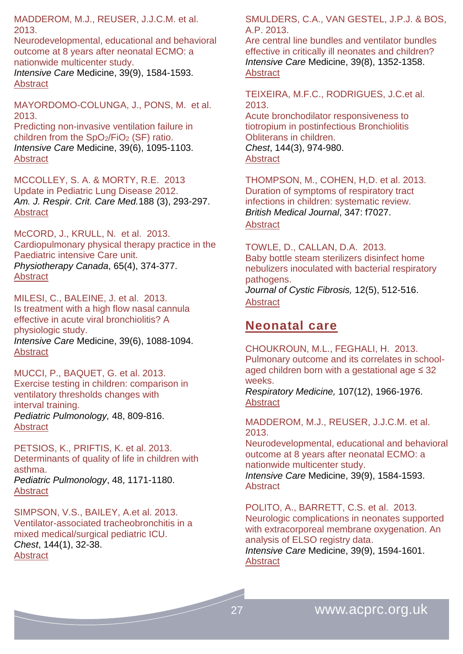MADDEROM, M.J., REUSER, J.J.C.M. et al. 2013.

[Neurodevelopmental, educational and behavioral](http://link.springer.com/article/10.1007/s00134-013-2973-1)  [outcome at 8 years after neonatal ECMO: a](http://link.springer.com/article/10.1007/s00134-013-2973-1)  [nationwide multicenter study.](http://link.springer.com/article/10.1007/s00134-013-2973-1)

*[Intensive Care](http://link.springer.com/journal/134)* Medicine, 3[9\(9\)](http://link.springer.com/journal/134/39/9/page/1), 1584-1593. [Abstract](http://icmjournal.esicm.org/journals/abstract.html?v=39&j=134&i=9&a=2973_10.1007_s00134-013-2973-1&doi=)

MAYORDOMO-COLUNGA, J., PONS, M. et al. 2013.

[Predicting non-invasive ventilation failure in](http://link.springer.com/article/10.1007/s00134-013-2880-5)  children from the  $SpO_2/FiO_2$  (SF) ratio. *[Intensive Care](http://link.springer.com/journal/134)* Medicine, 3[9\(6\)](http://link.springer.com/journal/134/39/6/page/1), 1095-1103. **[Abstract](http://icmjournal.esicm.org/journals/abstract.html?v=39&j=134&i=6&a=2880_10.1007_s00134-013-2880-5&doi=)** 

MCCOLLEY, S. A. & MORTY, R.E. 2013 Update in Pediatric Lung Disease 2012. *Am. J. Respir. Crit. Care Med.*188 (3), 293-297. **[Abstract](http://www.atsjournals.org/doi/abs/10.1164/rccm.201304-0617UP#.U2qFUPldUjp)** 

McCORD, J., KRULL, N. et al. 2013. Cardiopulmonary physical therapy practice in the Paediatric intensive Care unit. *Physiotherapy Canada*, 65(4), 374-377. **[Abstract](http://www.ncbi.nlm.nih.gov/pmc/articles/PMC3817872/)** 

MILESI, C., BALEINE, J. et al. 2013. [Is treatment with a high flow nasal cannula](http://link.springer.com/article/10.1007/s00134-013-2879-y)  [effective in acute viral bronchiolitis? A](http://link.springer.com/article/10.1007/s00134-013-2879-y)  [physiologic study.](http://link.springer.com/article/10.1007/s00134-013-2879-y) *[Intensive Care](http://link.springer.com/journal/134)* Medicine, 3[9\(6\)](http://link.springer.com/journal/134/39/6/page/1), 1088-1094. **[Abstract](http://icmjournal.esicm.org/journals/abstract.html?v=39&j=134&i=6&a=2879_10.1007_s00134-013-2879-y&doi=)** 

MUCCI, P., BAQUET, G. et al. 2013. Exercise testing in children: comparison in ventilatory thresholds changes with interval training. *Pediatric Pulmonology,* 48, 809-816. **[Abstract](http://onlinelibrary.wiley.com/doi/10.1002/ppul.22646/abstract)** 

PETSIOS, K., PRIFTIS, K. et al. 2013. Determinants of quality of life in children with asthma. *Pediatric Pulmonology*, 48, 1171-1180. **[Abstract](http://onlinelibrary.wiley.com/doi/10.1002/ppul.22768/abstract)** 

SIMPSON, V.S., BAILEY, A.et al. 2013. Ventilator-associated tracheobronchitis in a mixed medical/surgical pediatric ICU. *Chest*, 144(1), 32-38. [Abstract](http://journal.publications.chestnet.org/article.aspx?articleID=1555401)

SMULDERS, C.A., VAN GESTEL, J.P.J. & BOS, A.P. 2013.

[Are central line bundles and ventilator bundles](http://link.springer.com/article/10.1007/s00134-013-2927-7)  [effective in critically ill neonates and children?](http://link.springer.com/article/10.1007/s00134-013-2927-7) *[Intensive Care](http://link.springer.com/journal/134)* Medicine, 3[9\(8\)](http://link.springer.com/journal/134/39/8/page/1), 1352-1358. **[Abstract](http://icmjournal.esicm.org/journals/abstract.html?v=39&j=134&i=8&a=2927_10.1007_s00134-013-2927-7&doi=)** 

TEIXEIRA, M.F.C., RODRIGUES, J.C.et al. 2013.

Acute bronchodilator responsiveness to tiotropium in postinfectious Bronchiolitis Obliterans in children. *Chest*, 144(3), 974-980. **[Abstract](http://journal.publications.chestnet.org/article.aspx?articleID=1674757)** 

THOMPSON, M., COHEN, H,D. et al. 2013. Duration of symptoms of respiratory tract infections in children: systematic review. *British Medical Journal*, 347: f7027. [Abstract](http://www.bmj.com/content/347/bmj.f7027?view=long&pmid=24335668)

TOWLE, D., CALLAN, D.A. 2013. Baby bottle steam sterilizers disinfect home nebulizers inoculated with bacterial respiratory pathogens. *Journal of Cystic Fibrosis,* 12(5), 512-516.

**[Abstract](http://www.cysticfibrosisjournal.com/article/S1569-1993(12)00232-9/abstract)** 

### <span id="page-26-0"></span>**Neonatal care**

CHOUKROUN, M.L., FEGHALI, H. 2013. Pulmonary outcome and its correlates in schoolaged children born with a gestational age ≤ 32 weeks.

*Respiratory Medicine,* 107(12), 1966-1976. **[Abstract](http://www.resmedjournal.com/article/S0954-6111(13)00232-1/abstract)** 

MADDEROM, M.J., REUSER, J.J.C.M. et al. 2013.

[Neurodevelopmental, educational and behavioral](http://link.springer.com/article/10.1007/s00134-013-2973-1)  [outcome at 8 years after neonatal ECMO: a](http://link.springer.com/article/10.1007/s00134-013-2973-1)  [nationwide multicenter study.](http://link.springer.com/article/10.1007/s00134-013-2973-1)

*[Intensive Care](http://link.springer.com/journal/134)* Medicine, 3[9\(9\)](http://link.springer.com/journal/134/39/9/page/1), 1584-1593. **[Abstract](http://icmjournal.esicm.org/journals/abstract.html?v=39&j=134&i=9&a=2973_10.1007_s00134-013-2973-1&doi=)** 

POLITO, A., BARRETT, C.S. et al. 2013. [Neurologic complications in neonates supported](http://link.springer.com/article/10.1007/s00134-013-2985-x)  with extracorporeal membrane oxygenation. An [analysis of ELSO registry data.](http://link.springer.com/article/10.1007/s00134-013-2985-x)

*[Intensive Care](http://link.springer.com/journal/134)* Medicine, 3[9\(9\)](http://link.springer.com/journal/134/39/9/page/1), 1594-1601. **[Abstract](http://icmjournal.esicm.org/journals/abstract.html?v=39&j=134&i=9&a=2985_10.1007_s00134-013-2985-x&doi=)**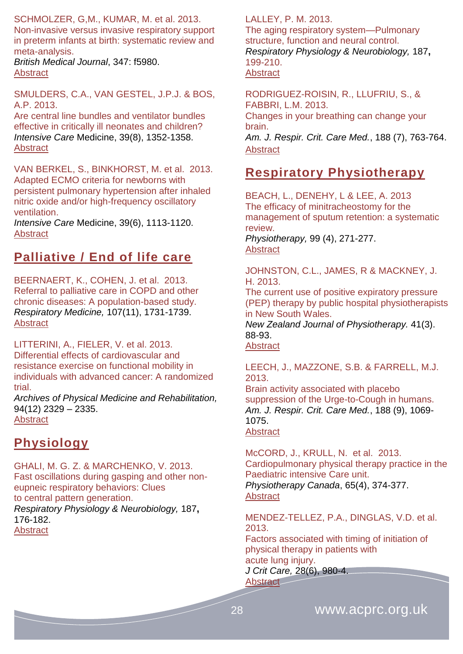SCHMOLZER, G,M., KUMAR, M. et al. 2013. Non-invasive versus invasive respiratory support in preterm infants at birth: systematic review and meta-analysis.

*British Medical Journal*, 347: f5980. **[Abstract](http://www.bmj.com/content/347/bmj.f5980?view=long&pmid=24136633)** 

SMULDERS, C.A., VAN GESTEL, J.P.J. & BOS, A.P. 2013.

[Are central line bundles and ventilator bundles](http://link.springer.com/article/10.1007/s00134-013-2927-7)  [effective in critically ill neonates and children?](http://link.springer.com/article/10.1007/s00134-013-2927-7) *[Intensive Care](http://link.springer.com/journal/134)* Medicine, 3[9\(8\)](http://link.springer.com/journal/134/39/8/page/1), 1352-1358. [Abstract](http://icmjournal.esicm.org/journals/abstract.html?v=39&j=134&i=8&a=2927_10.1007_s00134-013-2927-7&doi=)

VAN BERKEL, S., BINKHORST, M. et al. 2013. [Adapted ECMO criteria for newborns with](http://link.springer.com/article/10.1007/s00134-013-2907-y)  [persistent pulmonary hypertension after inhaled](http://link.springer.com/article/10.1007/s00134-013-2907-y)  [nitric oxide and/or high-frequency oscillatory](http://link.springer.com/article/10.1007/s00134-013-2907-y)  [ventilation.](http://link.springer.com/article/10.1007/s00134-013-2907-y)

*[Intensive Care](http://link.springer.com/journal/134)* Medicine, 3[9\(6\)](http://link.springer.com/journal/134/39/6/page/1), 1113-1120. **[Abstract](http://icmjournal.esicm.org/journals/abstract.html?v=39&j=134&i=6&a=2907_10.1007_s00134-013-2907-y&doi=)** 

### <span id="page-27-0"></span>**Palliative / End of life care**

BEERNAERT, K., COHEN, J. et al. 2013. Referral to palliative care in COPD and other chronic diseases: A population-based study. *Respiratory Medicine,* 107(11), 1731-1739. **[Abstract](http://www.resmedjournal.com/article/S0954-6111(13)00215-1/abstract)** 

LITTERINI, A., FIELER, V. et al. 2013.

Differential effects of cardiovascular and resistance exercise on functional mobility in individuals with advanced cancer: A randomized trial.

*Archives of Physical Medicine and Rehabilitation,* 94(12) 2329 – 2335. **[Abstract](http://www.archives-pmr.org/article/S0003-9993(13)00460-7/abstract)** 

# <span id="page-27-1"></span>**Physiology**

GHALI, M. G. Z. & MARCHENKO, V. 2013. Fast oscillations during gasping and other noneupneic respiratory behaviors: Clues to central pattern generation. *Respiratory Physiology & Neurobiology,* 187**,** 176-182.

**[Abstract](http://www.ncbi.nlm.nih.gov/pubmed/?term=ghali+respiratory+2013)** 

LALLEY, P. M. 2013.

The aging respiratory system—Pulmonary structure, function and neural control. *Respiratory Physiology & Neurobiology,* 187**,** 199-210. **[Abstract](http://www.ncbi.nlm.nih.gov/pubmed/?term=lalley+aging)** 

RODRIGUEZ-ROISIN, R., LLUFRIU, S., & FABBRI, L.M. 2013. Changes in your breathing can change your brain. *Am. J. Respir. Crit. Care Med.*, 188 (7), 763-764. **[Abstract](http://www.atsjournals.org/doi/abs/10.1164/rccm.201308-1445ED#.U2qFTPldUjp)** 

# <span id="page-27-2"></span>**Respiratory Physiotherapy**

BEACH, L., DENEHY, L & LEE, A. 2013 The efficacy of minitracheostomy for the management of sputum retention: a systematic review.

*Physiotherapy,* 99 (4), 271-277. [Abstract](http://www.physiotherapyjournal.com/article/S0031-9406(13)00032-1/abstract)

JOHNSTON, C.L., JAMES, R & MACKNEY, J. H. 2013.

The current use of positive expiratory pressure (PEP) therapy by public hospital physiotherapists in New South Wales.

*New Zealand Journal of Physiotherapy.* 41(3). 88-93.

**[Abstract](http://physiotherapy.org.nz/assets/Professional-dev/Journal/2013-November/Nov-2013-COMPLETE-LR.pdf)** 

LEECH, J., MAZZONE, S.B. & FARRELL, M.J. 2013.

Brain activity associated with placebo suppression of the Urge-to-Cough in humans. *Am. J. Respir. Crit. Care Med.*, 188 (9), 1069- 1075. **[Abstract](http://www.atsjournals.org/doi/abs/10.1164/rccm.201306-1079OC#.U2qFTfldUjp)** 

McCORD, J., KRULL, N. et al. 2013. Cardiopulmonary physical therapy practice in the Paediatric intensive Care unit. *Physiotherapy Canada*, 65(4), 374-377.

**[Abstract](http://www.ncbi.nlm.nih.gov/pmc/articles/PMC3817872/)** 

MENDEZ-TELLEZ, P.A., DINGLAS, V.D. et al. 2013.

Factors associated with timing of initiation of physical therapy in patients with acute lung injury.

*J Crit Care,* 28(6), 980-4. **[Abstract](http://www.ncbi.nlm.nih.gov/pubmed/?term=J+Crit+Care%2C+28(6)%3A980-4)**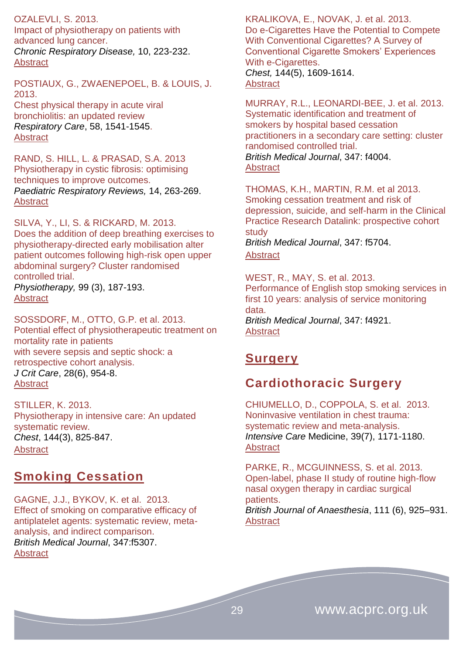OZALEVLI, S. 2013.

Impact of physiotherapy on patients with advanced lung cancer. *Chronic Respiratory Disease,* 10, 223-232. [Abstract](http://www.ncbi.nlm.nih.gov/pubmed/24177683)

POSTIAUX, G., ZWAENEPOEL, B. & LOUIS, J. 2013.

Chest physical therapy in acute viral bronchiolitis: an updated review *Respiratory Care*, 58, 1541-1545. [Abstract](http://www.ncbi.nlm.nih.gov/pubmed/23287014)

RAND, S. HILL, L. & PRASAD, S.A. 2013 Physiotherapy in cystic fibrosis: optimising techniques to improve outcomes. *Paediatric Respiratory Reviews,* 14, 263-269. **[Abstract](http://www.ncbi.nlm.nih.gov/pubmed/24209461)** 

SILVA, Y., LI, S. & RICKARD, M. 2013. Does the addition of deep breathing exercises to physiotherapy-directed early mobilisation alter patient outcomes following high-risk open upper abdominal surgery? Cluster randomised controlled trial. *Physiotherapy,* 99 (3), 187-193. [Abstract](http://www.physiotherapyjournal.com/article/S0031-9406(12)00132-0/abstract)

SOSSDORF, M., OTTO, G.P. et al. 2013. Potential effect of physiotherapeutic treatment on mortality rate in patients with severe sepsis and septic shock: a retrospective cohort analysis. *J Crit Care*, 28(6), 954-8. [Abstract](http://www.ncbi.nlm.nih.gov/pubmed/?term=J+Crit+Care%2C28(6)%2C+954-8.)

STILLER, K. 2013. Physiotherapy in intensive care: An updated systematic review. *Chest*, 144(3), 825-847. **[Abstract](http://journal.publications.chestnet.org/article.aspx?articleID=1692157)** 

### <span id="page-28-0"></span>**Smoking Cessation**

GAGNE, J.J., BYKOV, K. et al. 2013. Effect of smoking on comparative efficacy of antiplatelet agents: systematic review, metaanalysis, and indirect comparison. *British Medical Journal*, 347:f5307. **[Abstract](http://www.bmj.com/content/347/bmj.f5307?view=long&pmid=24046285)** 

KRALIKOVA, E., NOVAK, J. et al. 2013. Do e-Cigarettes Have the Potential to Compete With Conventional Cigarettes? A Survey of Conventional Cigarette Smokers' Experiences With e-Cigarettes. *Chest,* 144(5), 1609-1614.

#### [Abstract](http://journal.publications.chestnet.org/article.aspx?articleID=1714565)

MURRAY, R.L., LEONARDI-BEE, J. et al. 2013. Systematic identification and treatment of smokers by hospital based cessation practitioners in a secondary care setting: cluster randomised controlled trial. *British Medical Journal*, 347: f4004. **[Abstract](http://www.bmj.com/content/347/bmj.f4004?view=long&pmid=23836616)** 

THOMAS, K.H., MARTIN, R.M. et al 2013. Smoking cessation treatment and risk of depression, suicide, and self-harm in the Clinical Practice Research Datalink: prospective cohort study *British Medical Journal*, 347: f5704.

#### **[Abstract](http://www.bmj.com/content/347/bmj.f5704)**

WEST, R., MAY, S. et al. 2013. Performance of English stop smoking services in first 10 years: analysis of service monitoring data.

*British Medical Journal*, 347: f4921. **[Abstract](http://www.bmj.com/content/347/bmj.f4921?view=long&pmid=23963106)** 

# <span id="page-28-1"></span>**Surgery**

# <span id="page-28-2"></span>**Cardiothoracic Surgery**

CHIUMELLO, D., COPPOLA, S. et al. 2013. [Noninvasive ventilation in chest trauma:](http://link.springer.com/article/10.1007/s00134-013-2901-4)  [systematic review and meta-analysis.](http://link.springer.com/article/10.1007/s00134-013-2901-4) *[Intensive Care](http://link.springer.com/journal/134)* Medicine, 3[9\(7\)](http://link.springer.com/journal/134/39/7/page/1), 1171-1180. **[Abstract](http://icmjournal.esicm.org/journals/abstract.html?v=39&j=134&i=7&a=2901_10.1007_s00134-013-2901-4&doi=)** 

PARKE, R., MCGUINNESS, S. et al. 2013. Open-label, phase II study of routine high-flow nasal oxygen therapy in cardiac surgical patients. *British Journal of Anaesthesia*, 111 (6), 925–931. [Abstract](http://bja.oxfordjournals.org/content/111/6/925.abstract)

29 www.acprc.org.uk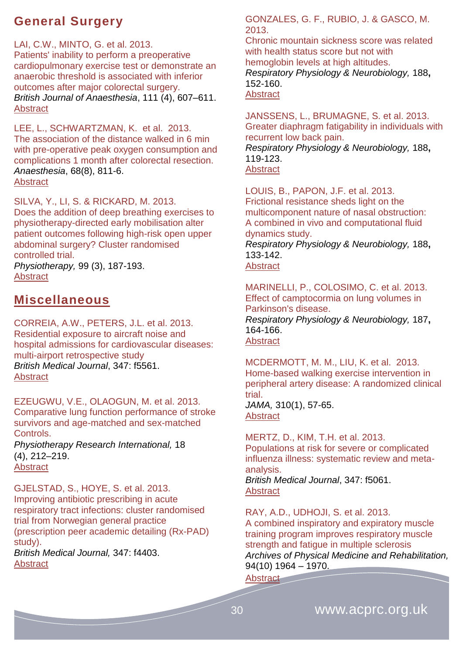# <span id="page-29-0"></span>**General Surgery**

LAI, C.W., MINTO, G. et al. 2013.

Patients' inability to perform a preoperative cardiopulmonary exercise test or demonstrate an anaerobic threshold is associated with inferior outcomes after major colorectal surgery. *British Journal of Anaesthesia*, 111 (4), 607–611. **[Abstract](http://bja.oxfordjournals.org/content/111/4/607.abstract)** 

LEE, L., SCHWARTZMAN, K. et al. 2013. The association of the distance walked in 6 min with pre-operative peak oxygen consumption and complications 1 month after colorectal resection. *Anaesthesia*, 68(8), 811-6. **[Abstract](http://www.ncbi.nlm.nih.gov/pubmed/?term=Anaesthesia%2C+68(8)%3A811-6)** 

SILVA, Y., LI, S. & RICKARD, M. 2013. Does the addition of deep breathing exercises to physiotherapy-directed early mobilisation alter patient outcomes following high-risk open upper abdominal surgery? Cluster randomised controlled trial. *Physiotherapy,* 99 (3), 187-193.

**[Abstract](http://www.physiotherapyjournal.com/article/S0031-9406(12)00132-0/abstract)** 

# <span id="page-29-1"></span>**Miscellaneous**

CORREIA, A.W., PETERS, J.L. et al. 2013. Residential exposure to aircraft noise and hospital admissions for cardiovascular diseases: multi-airport retrospective study *British Medical Journal*, 347: f5561. [Abstract](http://www.bmj.com/content/347/bmj.f5561?view=long&pmid=24103538)

EZEUGWU, V.E., OLAOGUN, M. et al. 2013. Comparative lung function performance of stroke survivors and age-matched and sex-matched Controls. *Physiotherapy Research International,* [18](http://onlinelibrary.wiley.com/doi/10.1002/pri.v18.4/issuetoc)

[\(4\),](http://onlinelibrary.wiley.com/doi/10.1002/pri.v18.4/issuetoc) 212–219. [Abstract](http://www.ncbi.nlm.nih.gov/pubmed/23359511)

GJELSTAD, S., HOYE, S. et al. 2013. Improving antibiotic prescribing in acute respiratory tract infections: cluster randomised trial from Norwegian general practice (prescription peer academic detailing (Rx-PAD) study). *British Medical Journal,* 347: f4403. **[Abstract](http://www.bmj.com/content/347/bmj.f4403?view=long&pmid=23894178)** 

GONZALES, G. F., RUBIO, J. & GASCO, M. 2013.

Chronic mountain sickness score was related with health status score but not with hemoglobin levels at high altitudes. *Respiratory Physiology & Neurobiology,* 188**,** 152-160. **[Abstract](http://www.ncbi.nlm.nih.gov/pubmed/23770310)** 

JANSSENS, L., BRUMAGNE, S. et al. 2013. Greater diaphragm fatigability in individuals with recurrent low back pain. *Respiratory Physiology & Neurobiology,* 188**,** 119-123. [Abstract](http://www.ncbi.nlm.nih.gov/pubmed/23727158)

LOUIS, B., PAPON, J.F. et al. 2013. Frictional resistance sheds light on the multicomponent nature of nasal obstruction: A combined in vivo and computational fluid dynamics study. *Respiratory Physiology & Neurobiology,* 188**,**

133-142.

**[Abstract](http://www.ncbi.nlm.nih.gov/pubmed/23727227)** 

MARINELLI, P., COLOSIMO, C. et al. 2013. Effect of camptocormia on lung volumes in Parkinson's disease. *Respiratory Physiology & Neurobiology,* 187**,**

164-166. **[Abstract](http://www.ncbi.nlm.nih.gov/pubmed/?term=marinelli+camptocormia)** 

MCDERMOTT, M. M., LIU, K. et al. 2013. Home-based walking exercise intervention in peripheral artery disease: A randomized clinical trial.

*JAMA,* 310(1), 57-65. [Abstract](http://www.ncbi.nlm.nih.gov/pubmed/23821089)

MERTZ, D., KIM, T.H. et al. 2013. Populations at risk for severe or complicated influenza illness: systematic review and metaanalysis.

*British Medical Journal*, 347: f5061. **[Abstract](http://www.bmj.com/content/347/bmj.f5061?view=long&pmid=23974637)** 

RAY, A.D., UDHOJI, S. et al. 2013. A combined inspiratory and expiratory muscle training program improves respiratory muscle strength and fatigue in multiple sclerosis *Archives of Physical Medicine and Rehabilitation,* 94(10) 1964 – 1970.